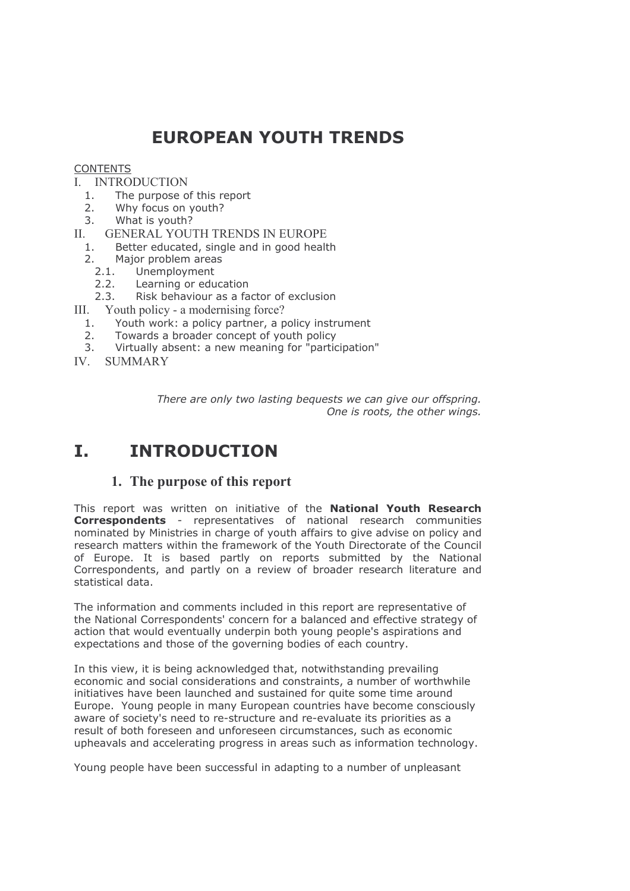# **EUROPEAN YOUTH TRENDS**

#### **CONTENTS**

# **I. INTRODUCTION**

- $1.$ The purpose of this report
- $2.$ Why focus on youth?
- $\mathcal{S}$ What is youth?
- GENERAL YOUTH TRENDS IN EUROPE П.
	- Better educated, single and in good health  $1.$
	- Major problem areas  $2.$ 
		- $2.1.$ Unemployment
		- $2.2.$ Learning or education
	- Risk behaviour as a factor of exclusion  $2.3.$
- $III.$ Youth policy - a modernising force?
	- Youth work: a policy partner, a policy instrument  $1.$
	- $2.$ Towards a broader concept of youth policy
	- $\overline{3}$ . Virtually absent: a new meaning for "participation"
- IV SUMMARY

There are only two lasting bequests we can give our offspring. One is roots, the other wings.

#### $\mathbf{T}$ **INTRODUCTION**

# 1. The purpose of this report

This report was written on initiative of the National Youth Research **Correspondents** - representatives of national research communities nominated by Ministries in charge of youth affairs to give advise on policy and research matters within the framework of the Youth Directorate of the Council of Europe. It is based partly on reports submitted by the National Correspondents, and partly on a review of broader research literature and statistical data.

The information and comments included in this report are representative of the National Correspondents' concern for a balanced and effective strategy of action that would eventually underpin both young people's aspirations and expectations and those of the governing bodies of each country.

In this view, it is being acknowledged that, notwithstanding prevailing economic and social considerations and constraints, a number of worthwhile initiatives have been launched and sustained for quite some time around Europe. Young people in many European countries have become consciously aware of society's need to re-structure and re-evaluate its priorities as a result of both foreseen and unforeseen circumstances, such as economic upheavals and accelerating progress in areas such as information technology.

Young people have been successful in adapting to a number of unpleasant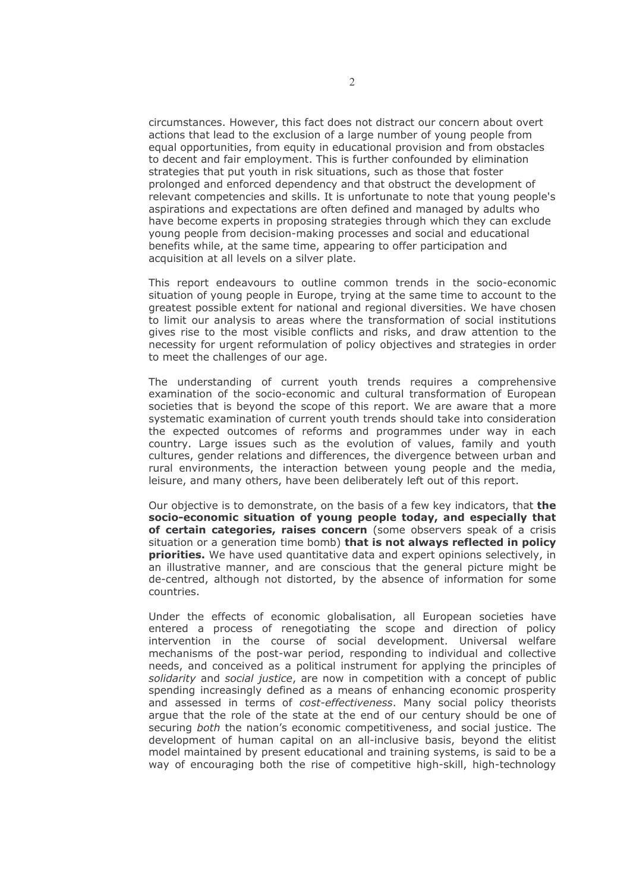circumstances. However, this fact does not distract our concern about overt actions that lead to the exclusion of a large number of young people from equal opportunities, from equity in educational provision and from obstacles to decent and fair employment. This is further confounded by elimination strategies that put youth in risk situations, such as those that foster prolonged and enforced dependency and that obstruct the development of relevant competencies and skills. It is unfortunate to note that young people's aspirations and expectations are often defined and managed by adults who have become experts in proposing strategies through which they can exclude young people from decision-making processes and social and educational benefits while, at the same time, appearing to offer participation and acquisition at all levels on a silver plate.

This report endeavours to outline common trends in the socio-economic situation of young people in Europe, trying at the same time to account to the greatest possible extent for national and regional diversities. We have chosen to limit our analysis to areas where the transformation of social institutions gives rise to the most visible conflicts and risks, and draw attention to the necessity for urgent reformulation of policy objectives and strategies in order to meet the challenges of our age.

The understanding of current youth trends requires a comprehensive examination of the socio-economic and cultural transformation of European societies that is beyond the scope of this report. We are aware that a more systematic examination of current youth trends should take into consideration the expected outcomes of reforms and programmes under way in each country. Large issues such as the evolution of values, family and youth cultures, gender relations and differences, the divergence between urban and rural environments, the interaction between young people and the media, leisure, and many others, have been deliberately left out of this report.

Our objective is to demonstrate, on the basis of a few key indicators, that the socio-economic situation of young people today, and especially that of certain categories, raises concern (some observers speak of a crisis situation or a generation time bomb) that is not always reflected in policy priorities. We have used quantitative data and expert opinions selectively, in an illustrative manner, and are conscious that the general picture might be de-centred, although not distorted, by the absence of information for some countries.

Under the effects of economic globalisation, all European societies have entered a process of renegotiating the scope and direction of policy intervention in the course of social development. Universal welfare mechanisms of the post-war period, responding to individual and collective needs, and conceived as a political instrument for applying the principles of solidarity and social justice, are now in competition with a concept of public spending increasingly defined as a means of enhancing economic prosperity and assessed in terms of cost-effectiveness. Many social policy theorists arque that the role of the state at the end of our century should be one of securing *both* the nation's economic competitiveness, and social justice. The development of human capital on an all-inclusive basis, beyond the elitist model maintained by present educational and training systems, is said to be a way of encouraging both the rise of competitive high-skill, high-technology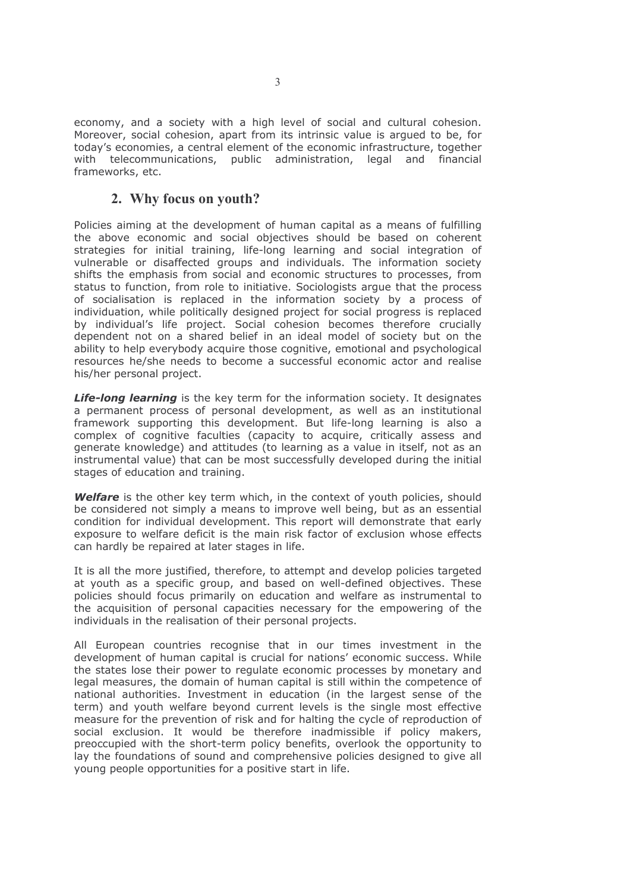economy, and a society with a high level of social and cultural cohesion. Moreover, social cohesion, apart from its intrinsic value is argued to be, for today's economies, a central element of the economic infrastructure, together with telecommunications, public administration, legal and financial frameworks, etc.

# 2. Why focus on youth?

Policies aiming at the development of human capital as a means of fulfilling the above economic and social objectives should be based on coherent strategies for initial training, life-long learning and social integration of vulnerable or disaffected groups and individuals. The information society shifts the emphasis from social and economic structures to processes, from status to function, from role to initiative. Sociologists argue that the process of socialisation is replaced in the information society by a process of individuation, while politically designed project for social progress is replaced by individual's life project. Social cohesion becomes therefore crucially dependent not on a shared belief in an ideal model of society but on the ability to help everybody acquire those cognitive, emotional and psychological resources he/she needs to become a successful economic actor and realise his/her personal project.

**Life-long learning** is the key term for the information society. It designates a permanent process of personal development, as well as an institutional framework supporting this development. But life-long learning is also a complex of cognitive faculties (capacity to acquire, critically assess and generate knowledge) and attitudes (to learning as a value in itself, not as an instrumental value) that can be most successfully developed during the initial stages of education and training.

Welfare is the other key term which, in the context of youth policies, should be considered not simply a means to improve well being, but as an essential condition for individual development. This report will demonstrate that early exposure to welfare deficit is the main risk factor of exclusion whose effects can hardly be repaired at later stages in life.

It is all the more justified, therefore, to attempt and develop policies targeted at youth as a specific group, and based on well-defined objectives. These policies should focus primarily on education and welfare as instrumental to the acquisition of personal capacities necessary for the empowering of the individuals in the realisation of their personal projects.

All European countries recognise that in our times investment in the development of human capital is crucial for nations' economic success. While the states lose their power to regulate economic processes by monetary and legal measures, the domain of human capital is still within the competence of national authorities. Investment in education (in the largest sense of the term) and youth welfare beyond current levels is the single most effective measure for the prevention of risk and for halting the cycle of reproduction of social exclusion. It would be therefore inadmissible if policy makers, preoccupied with the short-term policy benefits, overlook the opportunity to lay the foundations of sound and comprehensive policies designed to give all young people opportunities for a positive start in life.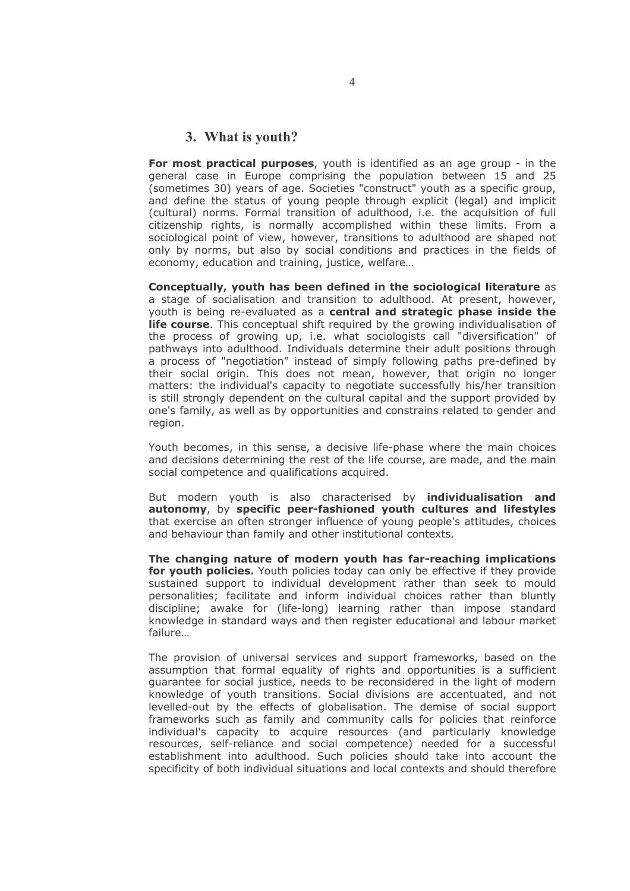### 3. What is youth?

For most practical purposes, youth is identified as an age group - in the general case in Europe comprising the population between 15 and 25 (sometimes 30) years of age. Societies "construct" youth as a specific group, and define the status of young people through explicit (legal) and implicit (cultural) norms. Formal transition of adulthood, i.e. the acquisition of full citizenship rights, is normally accomplished within these limits. From a sociological point of view, however, transitions to adulthood are shaped not only by norms, but also by social conditions and practices in the fields of economy, education and training, justice, welfare...

Conceptually, youth has been defined in the sociological literature as a stage of socialisation and transition to adulthood. At present, however, youth is being re-evaluated as a central and strategic phase inside the **life course.** This conceptual shift required by the growing individualisation of the process of growing up, i.e. what sociologists call "diversification" of pathways into adulthood. Individuals determine their adult positions through a process of "negotiation" instead of simply following paths pre-defined by their social origin. This does not mean, however, that origin no longer matters: the individual's capacity to negotiate successfully his/her transition is still strongly dependent on the cultural capital and the support provided by one's family, as well as by opportunities and constrains related to gender and region.

Youth becomes, in this sense, a decisive life-phase where the main choices and decisions determining the rest of the life course, are made, and the main social competence and qualifications acquired.

But modern youth is also characterised by individualisation and autonomy, by specific peer-fashioned youth cultures and lifestyles that exercise an often stronger influence of young people's attitudes, choices and behaviour than family and other institutional contexts.

The changing nature of modern youth has far-reaching implications for youth policies. Youth policies today can only be effective if they provide sustained support to individual development rather than seek to mould personalities; facilitate and inform individual choices rather than bluntly discipline; awake for (life-long) learning rather than impose standard knowledge in standard ways and then register educational and labour market failure...

The provision of universal services and support frameworks, based on the assumption that formal equality of rights and opportunities is a sufficient quarantee for social justice, needs to be reconsidered in the light of modern knowledge of youth transitions. Social divisions are accentuated, and not levelled-out by the effects of globalisation. The demise of social support frameworks such as family and community calls for policies that reinforce individual's capacity to acquire resources (and particularly knowledge resources, self-reliance and social competence) needed for a successful establishment into adulthood. Such policies should take into account the specificity of both individual situations and local contexts and should therefore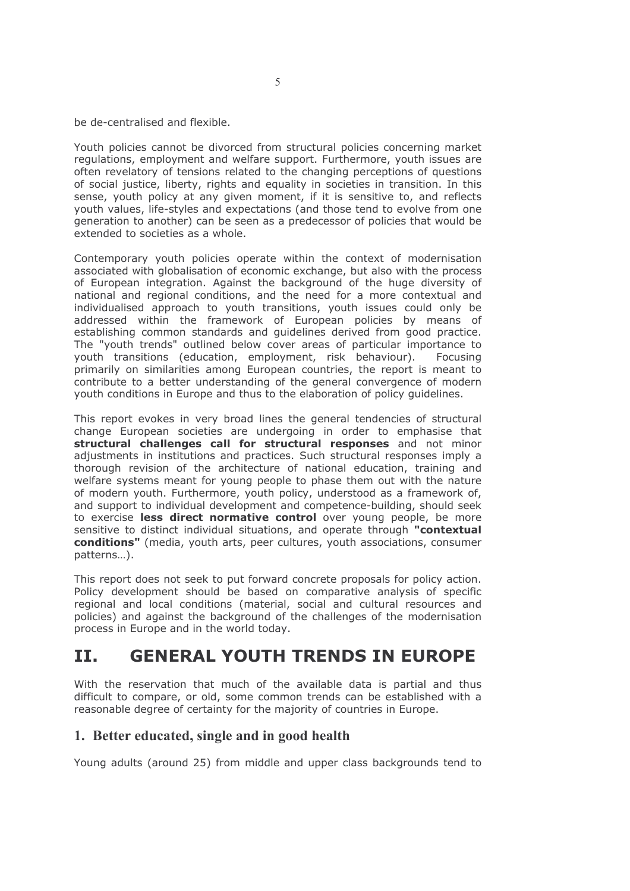be de-centralised and flexible.

Youth policies cannot be divorced from structural policies concerning market requlations, employment and welfare support. Furthermore, youth issues are often revelatory of tensions related to the changing perceptions of questions of social justice, liberty, rights and equality in societies in transition. In this sense, youth policy at any given moment, if it is sensitive to, and reflects youth values, life-styles and expectations (and those tend to evolve from one generation to another) can be seen as a predecessor of policies that would be extended to societies as a whole.

Contemporary youth policies operate within the context of modernisation associated with globalisation of economic exchange, but also with the process of European integration. Against the background of the huge diversity of national and regional conditions, and the need for a more contextual and individualised approach to youth transitions, youth issues could only be addressed within the framework of European policies by means of establishing common standards and quidelines derived from good practice. The "youth trends" outlined below cover areas of particular importance to youth transitions (education, employment, risk behaviour). Focusing primarily on similarities among European countries, the report is meant to contribute to a better understanding of the general convergence of modern youth conditions in Europe and thus to the elaboration of policy quidelines.

This report evokes in very broad lines the general tendencies of structural change European societies are undergoing in order to emphasise that structural challenges call for structural responses and not minor adjustments in institutions and practices. Such structural responses imply a thorough revision of the architecture of national education, training and welfare systems meant for young people to phase them out with the nature of modern youth. Furthermore, youth policy, understood as a framework of, and support to individual development and competence-building, should seek to exercise less direct normative control over young people, be more sensitive to distinct individual situations, and operate through "contextual conditions" (media, youth arts, peer cultures, youth associations, consumer patterns...).

This report does not seek to put forward concrete proposals for policy action. Policy development should be based on comparative analysis of specific regional and local conditions (material, social and cultural resources and policies) and against the background of the challenges of the modernisation process in Europe and in the world today.

#### **GENERAL YOUTH TRENDS IN EUROPE** TT.

With the reservation that much of the available data is partial and thus difficult to compare, or old, some common trends can be established with a reasonable degree of certainty for the majority of countries in Europe.

# 1. Better educated, single and in good health

Young adults (around 25) from middle and upper class backgrounds tend to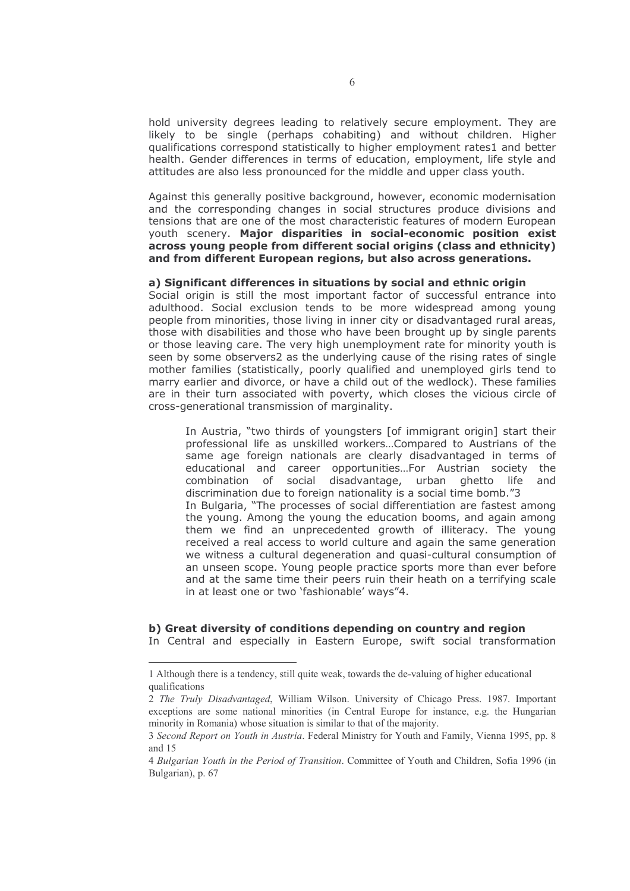hold university degrees leading to relatively secure employment. They are likely to be single (perhaps cohabiting) and without children. Higher qualifications correspond statistically to higher employment rates1 and better health. Gender differences in terms of education, employment, life style and attitudes are also less pronounced for the middle and upper class youth.

Against this generally positive background, however, economic modernisation and the corresponding changes in social structures produce divisions and tensions that are one of the most characteristic features of modern European youth scenery. Major disparities in social-economic position exist across young people from different social origins (class and ethnicity) and from different European regions, but also across generations.

#### a) Significant differences in situations by social and ethnic origin

Social origin is still the most important factor of successful entrance into adulthood. Social exclusion tends to be more widespread among young people from minorities, those living in inner city or disadvantaged rural areas, those with disabilities and those who have been brought up by single parents or those leaving care. The very high unemployment rate for minority youth is seen by some observers2 as the underlying cause of the rising rates of single mother families (statistically, poorly qualified and unemployed girls tend to marry earlier and divorce, or have a child out of the wedlock). These families are in their turn associated with poverty, which closes the vicious circle of cross-generational transmission of marginality.

In Austria, "two thirds of youngsters [of immigrant origin] start their professional life as unskilled workers...Compared to Austrians of the same age foreign nationals are clearly disadvantaged in terms of educational and career opportunities...For Austrian society the combination of social disadvantage, urban ghetto life and discrimination due to foreign nationality is a social time bomb."3 In Bulgaria, "The processes of social differentiation are fastest among the young. Among the young the education booms, and again among them we find an unprecedented growth of illiteracy. The young received a real access to world culture and again the same generation we witness a cultural degeneration and quasi-cultural consumption of an unseen scope. Young people practice sports more than ever before and at the same time their peers ruin their heath on a terrifying scale in at least one or two 'fashionable' ways"4.

#### b) Great diversity of conditions depending on country and region

In Central and especially in Eastern Europe, swift social transformation

<sup>1</sup> Although there is a tendency, still quite weak, towards the de-valuing of higher educational qualifications

<sup>2</sup> The Truly Disadvantaged, William Wilson. University of Chicago Press. 1987. Important exceptions are some national minorities (in Central Europe for instance, e.g. the Hungarian minority in Romania) whose situation is similar to that of the majority.

<sup>3</sup> Second Report on Youth in Austria. Federal Ministry for Youth and Family, Vienna 1995, pp. 8 and 15

<sup>4</sup> Bulgarian Youth in the Period of Transition. Committee of Youth and Children, Sofia 1996 (in Bulgarian), p. 67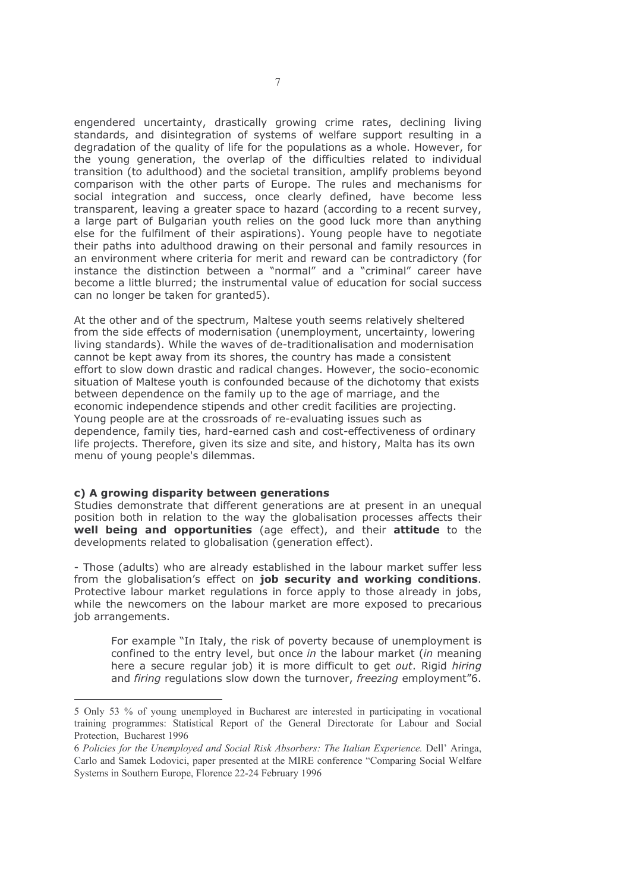engendered uncertainty, drastically growing crime rates, declining living standards, and disintegration of systems of welfare support resulting in a degradation of the quality of life for the populations as a whole. However, for the young generation, the overlap of the difficulties related to individual transition (to adulthood) and the societal transition, amplify problems beyond comparison with the other parts of Europe. The rules and mechanisms for social integration and success, once clearly defined, have become less transparent, leaving a greater space to hazard (according to a recent survey, a large part of Bulgarian youth relies on the good luck more than anything else for the fulfilment of their aspirations). Young people have to negotiate their paths into adulthood drawing on their personal and family resources in an environment where criteria for merit and reward can be contradictory (for instance the distinction between a "normal" and a "criminal" career have become a little blurred; the instrumental value of education for social success can no longer be taken for granted5).

At the other and of the spectrum, Maltese youth seems relatively sheltered from the side effects of modernisation (unemployment, uncertainty, lowering living standards). While the waves of de-traditionalisation and modernisation cannot be kept away from its shores, the country has made a consistent effort to slow down drastic and radical changes. However, the socio-economic situation of Maltese youth is confounded because of the dichotomy that exists between dependence on the family up to the age of marriage, and the economic independence stipends and other credit facilities are projecting. Young people are at the crossroads of re-evaluating issues such as dependence, family ties, hard-earned cash and cost-effectiveness of ordinary life projects. Therefore, given its size and site, and history, Malta has its own menu of young people's dilemmas.

#### c) A growing disparity between generations

Studies demonstrate that different generations are at present in an unequal position both in relation to the way the globalisation processes affects their well being and opportunities (age effect), and their attitude to the developments related to globalisation (generation effect).

- Those (adults) who are already established in the labour market suffer less from the globalisation's effect on job security and working conditions. Protective labour market regulations in force apply to those already in jobs, while the newcomers on the labour market are more exposed to precarious job arrangements.

For example "In Italy, the risk of poverty because of unemployment is confined to the entry level, but once in the labour market (in meaning here a secure regular job) it is more difficult to get out. Rigid hiring and firing regulations slow down the turnover, freezing employment"6.

<sup>5</sup> Only 53 % of young unemployed in Bucharest are interested in participating in vocational training programmes: Statistical Report of the General Directorate for Labour and Social Protection, Bucharest 1996

<sup>6</sup> Policies for the Unemployed and Social Risk Absorbers: The Italian Experience, Dell' Aringa. Carlo and Samek Lodovici, paper presented at the MIRE conference "Comparing Social Welfare" Systems in Southern Europe, Florence 22-24 February 1996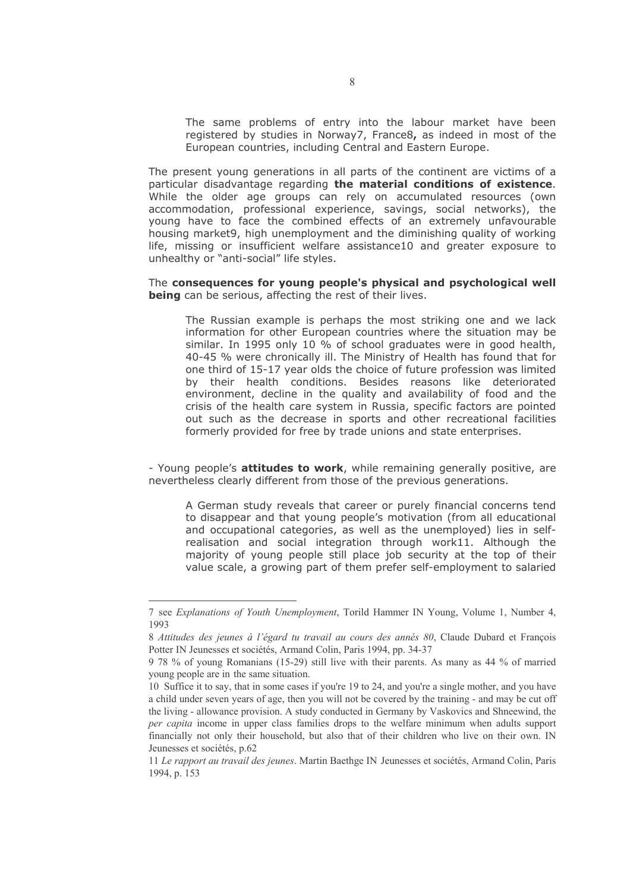The same problems of entry into the labour market have been registered by studies in Norway7, France8, as indeed in most of the European countries, including Central and Eastern Europe.

The present young generations in all parts of the continent are victims of a particular disadvantage regarding the material conditions of existence. While the older age groups can rely on accumulated resources (own accommodation, professional experience, savings, social networks), the young have to face the combined effects of an extremely unfavourable housing market9, high unemployment and the diminishing quality of working life, missing or insufficient welfare assistance10 and greater exposure to unhealthy or "anti-social" life styles.

#### The consequences for young people's physical and psychological well being can be serious, affecting the rest of their lives.

The Russian example is perhaps the most striking one and we lack information for other European countries where the situation may be similar. In 1995 only 10 % of school graduates were in good health, 40-45 % were chronically ill. The Ministry of Health has found that for one third of 15-17 year olds the choice of future profession was limited by their health conditions. Besides reasons like deteriorated environment, decline in the quality and availability of food and the crisis of the health care system in Russia, specific factors are pointed out such as the decrease in sports and other recreational facilities formerly provided for free by trade unions and state enterprises.

- Young people's attitudes to work, while remaining generally positive, are nevertheless clearly different from those of the previous generations.

A German study reveals that career or purely financial concerns tend to disappear and that young people's motivation (from all educational and occupational categories, as well as the unemployed) lies in selfrealisation and social integration through work11. Although the majority of young people still place job security at the top of their value scale, a growing part of them prefer self-employment to salaried

<sup>7</sup> see Explanations of Youth Unemployment. Torild Hammer IN Young, Volume 1, Number 4. 1993

<sup>8</sup> Attitudes des jeunes à l'égard tu travail au cours des annés 80, Claude Dubard et François Potter IN Jeunesses et sociétés, Armand Colin, Paris 1994, pp. 34-37

<sup>9.78 %</sup> of young Romanians (15-29) still live with their parents. As many as 44 % of married young people are in the same situation.

<sup>10</sup> Suffice it to say, that in some cases if you're 19 to 24, and you're a single mother, and you have a child under seven years of age, then you will not be covered by the training - and may be cut off the living - allowance provision. A study conducted in Germany by Vaskovics and Shneewind, the per capita income in upper class families drops to the welfare minimum when adults support financially not only their household, but also that of their children who live on their own. IN Jeunesses et sociétés, p.62

<sup>11</sup> Le rapport au travail des jeunes. Martin Baethge IN Jeunesses et sociétés, Armand Colin, Paris 1994. p. 153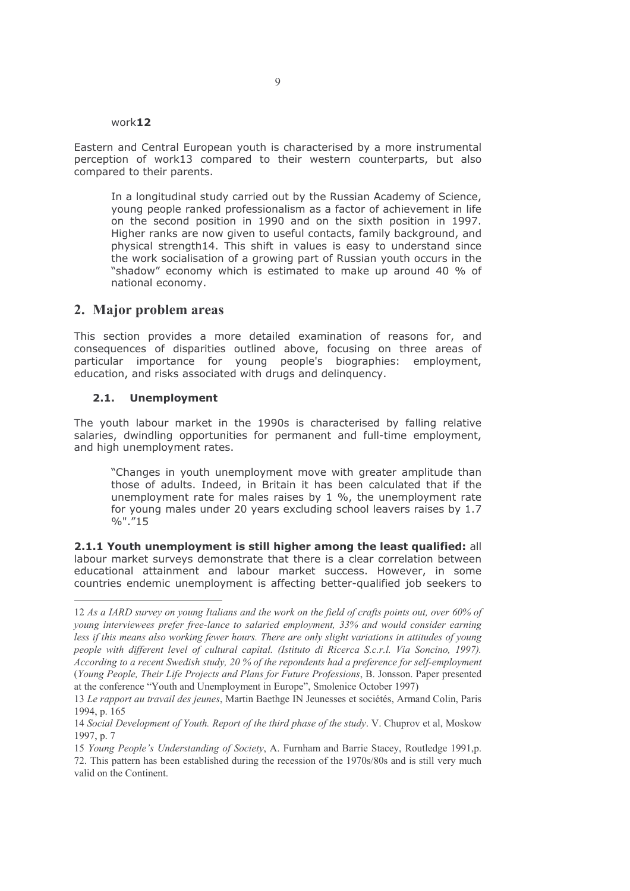#### work12

Eastern and Central European youth is characterised by a more instrumental perception of work13 compared to their western counterparts, but also compared to their parents.

In a longitudinal study carried out by the Russian Academy of Science, young people ranked professionalism as a factor of achievement in life on the second position in 1990 and on the sixth position in 1997. Higher ranks are now given to useful contacts, family background, and physical strength14. This shift in values is easy to understand since the work socialisation of a growing part of Russian youth occurs in the "shadow" economy which is estimated to make up around 40 % of national economy.

### 2. Major problem areas

This section provides a more detailed examination of reasons for, and consequences of disparities outlined above, focusing on three areas of particular importance for young people's biographies: employment, education, and risks associated with drugs and delinguency.

#### 2.1. Unemployment

The youth labour market in the 1990s is characterised by falling relative salaries, dwindling opportunities for permanent and full-time employment, and high unemployment rates.

"Changes in youth unemployment move with greater amplitude than those of adults. Indeed, in Britain it has been calculated that if the unemployment rate for males raises by  $1\%$ , the unemployment rate for young males under 20 years excluding school leavers raises by 1.7  $%$ ",  $"15$ 

2.1.1 Youth unemployment is still higher among the least qualified: all labour market surveys demonstrate that there is a clear correlation between educational attainment and labour market success. However, in some countries endemic unemployment is affecting better-qualified job seekers to

<sup>12</sup> As a IARD survey on young Italians and the work on the field of crafts points out, over 60% of young interviewees prefer free-lance to salaried employment, 33% and would consider earning less if this means also working fewer hours. There are only slight variations in attitudes of young people with different level of cultural capital. (Istituto di Ricerca S.c.r.l. Via Soncino, 1997). According to a recent Swedish study, 20 % of the repondents had a preference for self-employment (Young People, Their Life Projects and Plans for Future Professions, B. Jonsson. Paper presented at the conference "Youth and Unemployment in Europe", Smolenice October 1997)

<sup>13</sup> Le rapport au travail des jeunes, Martin Baethge IN Jeunesses et sociétés, Armand Colin, Paris 1994, p. 165

<sup>14</sup> Social Development of Youth. Report of the third phase of the study. V. Chuprov et al, Moskow 1997, p. 7

<sup>15</sup> Young People's Understanding of Society, A. Furnham and Barrie Stacey, Routledge 1991.p. 72. This pattern has been established during the recession of the 1970s/80s and is still very much valid on the Continent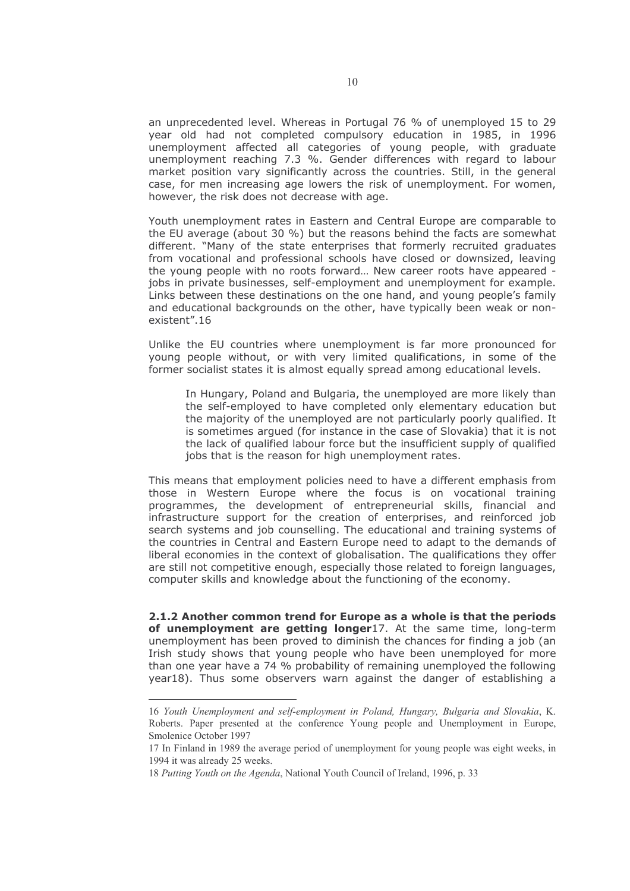an unprecedented level. Whereas in Portugal 76 % of unemployed 15 to 29 year old had not completed compulsory education in 1985, in 1996 unemployment affected all categories of young people, with graduate unemployment reaching 7.3 %. Gender differences with regard to labour market position vary significantly across the countries. Still, in the general case, for men increasing age lowers the risk of unemployment. For women, however, the risk does not decrease with age.

Youth unemployment rates in Eastern and Central Europe are comparable to the EU average (about 30 %) but the reasons behind the facts are somewhat different. "Many of the state enterprises that formerly recruited graduates from vocational and professional schools have closed or downsized, leaving the young people with no roots forward... New career roots have appeared jobs in private businesses, self-employment and unemployment for example. Links between these destinations on the one hand, and young people's family and educational backgrounds on the other, have typically been weak or nonexistent".16

Unlike the EU countries where unemployment is far more pronounced for young people without, or with very limited qualifications, in some of the former socialist states it is almost equally spread among educational levels.

In Hungary, Poland and Bulgaria, the unemployed are more likely than the self-employed to have completed only elementary education but the majority of the unemployed are not particularly poorly qualified. It is sometimes argued (for instance in the case of Slovakia) that it is not the lack of qualified labour force but the insufficient supply of qualified jobs that is the reason for high unemployment rates.

This means that employment policies need to have a different emphasis from those in Western Europe where the focus is on vocational training programmes, the development of entrepreneurial skills, financial and infrastructure support for the creation of enterprises, and reinforced job search systems and job counselling. The educational and training systems of the countries in Central and Eastern Europe need to adapt to the demands of liberal economies in the context of globalisation. The qualifications they offer are still not competitive enough, especially those related to foreign languages, computer skills and knowledge about the functioning of the economy.

2.1.2 Another common trend for Europe as a whole is that the periods of unemployment are getting longer17. At the same time, long-term unemployment has been proved to diminish the chances for finding a job (an Irish study shows that young people who have been unemployed for more than one year have a 74 % probability of remaining unemployed the following year18). Thus some observers warn against the danger of establishing a

<sup>16</sup> Youth Unemployment and self-employment in Poland, Hungary, Bulgaria and Slovakia, K. Roberts. Paper presented at the conference Young people and Unemployment in Europe, Smolenice October 1997

<sup>17</sup> In Finland in 1989 the average period of unemployment for young people was eight weeks, in 1994 it was already 25 weeks.

<sup>18</sup> Putting Youth on the Agenda, National Youth Council of Ireland, 1996, p. 33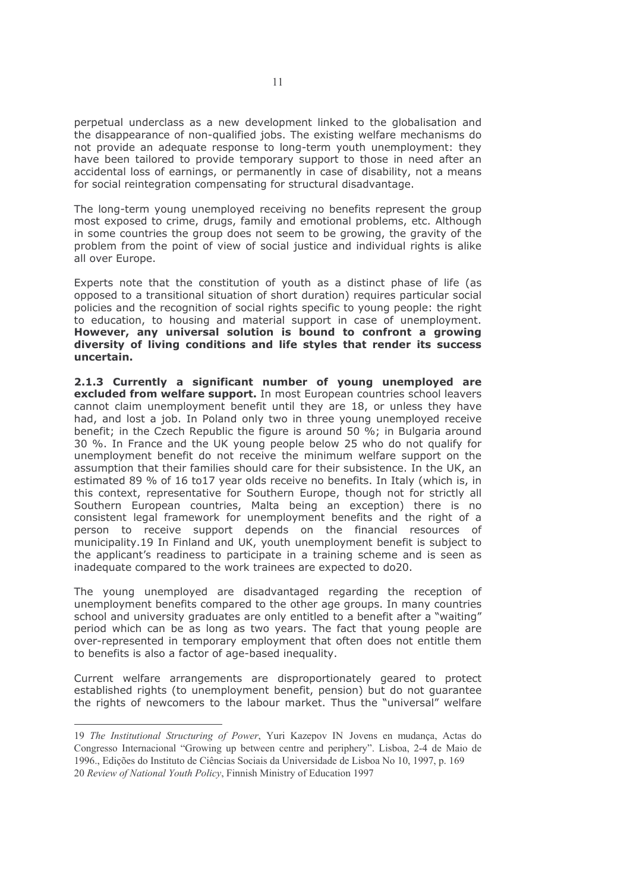perpetual underclass as a new development linked to the globalisation and the disappearance of non-qualified jobs. The existing welfare mechanisms do not provide an adequate response to long-term youth unemployment: they have been tailored to provide temporary support to those in need after an accidental loss of earnings, or permanently in case of disability, not a means for social reintegration compensating for structural disadvantage.

The long-term young unemployed receiving no benefits represent the group most exposed to crime, drugs, family and emotional problems, etc. Although in some countries the group does not seem to be growing, the gravity of the problem from the point of view of social justice and individual rights is alike all over Europe.

Experts note that the constitution of youth as a distinct phase of life (as opposed to a transitional situation of short duration) requires particular social policies and the recognition of social rights specific to young people: the right to education, to housing and material support in case of unemployment. However, any universal solution is bound to confront a growing diversity of living conditions and life styles that render its success uncertain.

2.1.3 Currently a significant number of young unemployed are excluded from welfare support. In most European countries school leavers cannot claim unemployment benefit until they are 18, or unless they have had, and lost a job. In Poland only two in three young unemployed receive benefit; in the Czech Republic the figure is around 50 %; in Bulgaria around 30 %. In France and the UK young people below 25 who do not qualify for unemployment benefit do not receive the minimum welfare support on the assumption that their families should care for their subsistence. In the UK, an estimated 89 % of 16 to17 year olds receive no benefits. In Italy (which is, in this context, representative for Southern Europe, though not for strictly all Southern European countries, Malta being an exception) there is no consistent legal framework for unemployment benefits and the right of a person to receive support depends on the financial resources of municipality.19 In Finland and UK, youth unemployment benefit is subject to the applicant's readiness to participate in a training scheme and is seen as inadequate compared to the work trainees are expected to do20.

The young unemployed are disadvantaged regarding the reception of unemployment benefits compared to the other age groups. In many countries school and university graduates are only entitled to a benefit after a "waiting" period which can be as long as two years. The fact that young people are over-represented in temporary employment that often does not entitle them to benefits is also a factor of age-based inequality.

Current welfare arrangements are disproportionately geared to protect established rights (to unemployment benefit, pension) but do not guarantee the rights of newcomers to the labour market. Thus the "universal" welfare

<sup>19</sup> The Institutional Structuring of Power, Yuri Kazepov IN Jovens en mudanca, Actas do Congresso Internacional "Growing up between centre and periphery". Lisboa. 2-4 de Maio de 1996., Edicões do Instituto de Ciências Sociais da Universidade de Lisboa No 10, 1997, p. 169 20 Review of National Youth Policy, Finnish Ministry of Education 1997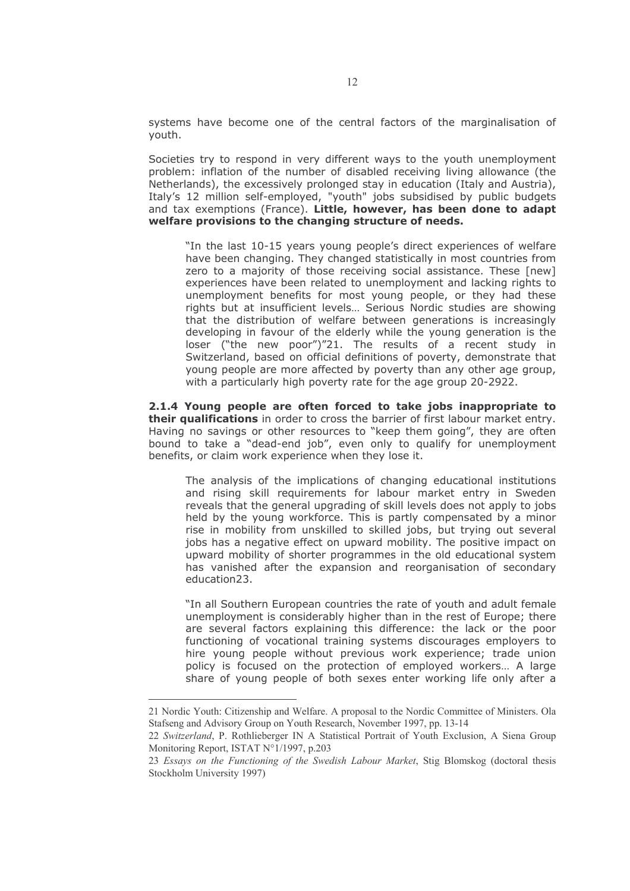systems have become one of the central factors of the marginalisation of youth.

Societies try to respond in very different ways to the youth unemployment problem; inflation of the number of disabled receiving living allowance (the Netherlands), the excessively prolonged stay in education (Italy and Austria), Italy's 12 million self-employed, "youth" jobs subsidised by public budgets and tax exemptions (France). Little, however, has been done to adapt welfare provisions to the changing structure of needs.

"In the last 10-15 years young people's direct experiences of welfare have been changing. They changed statistically in most countries from zero to a majority of those receiving social assistance. These [new] experiences have been related to unemployment and lacking rights to unemployment benefits for most young people, or they had these rights but at insufficient levels... Serious Nordic studies are showing that the distribution of welfare between generations is increasingly developing in favour of the elderly while the young generation is the loser ("the new poor")"21. The results of a recent study in Switzerland, based on official definitions of poverty, demonstrate that young people are more affected by poverty than any other age group, with a particularly high poverty rate for the age group 20-2922.

2.1.4 Young people are often forced to take jobs inappropriate to their qualifications in order to cross the barrier of first labour market entry. Having no savings or other resources to "keep them going", they are often bound to take a "dead-end job", even only to qualify for unemployment benefits, or claim work experience when they lose it.

The analysis of the implications of changing educational institutions and rising skill requirements for labour market entry in Sweden reveals that the general upgrading of skill levels does not apply to jobs held by the young workforce. This is partly compensated by a minor rise in mobility from unskilled to skilled jobs, but trying out several jobs has a negative effect on upward mobility. The positive impact on upward mobility of shorter programmes in the old educational system has vanished after the expansion and reorganisation of secondary education23.

"In all Southern European countries the rate of youth and adult female unemployment is considerably higher than in the rest of Europe; there are several factors explaining this difference: the lack or the poor functioning of vocational training systems discourages employers to hire young people without previous work experience; trade union policy is focused on the protection of employed workers... A large share of young people of both sexes enter working life only after a

<sup>21</sup> Nordic Youth: Citizenship and Welfare. A proposal to the Nordic Committee of Ministers. Ola Stafseng and Advisory Group on Youth Research, November 1997, pp. 13-14

<sup>22</sup> Switzerland, P. Rothlieberger IN A Statistical Portrait of Youth Exclusion, A Siena Group Monitoring Report, ISTAT N°1/1997, p.203

<sup>23</sup> Essays on the Functioning of the Swedish Labour Market, Stig Blomskog (doctoral thesis Stockholm University 1997)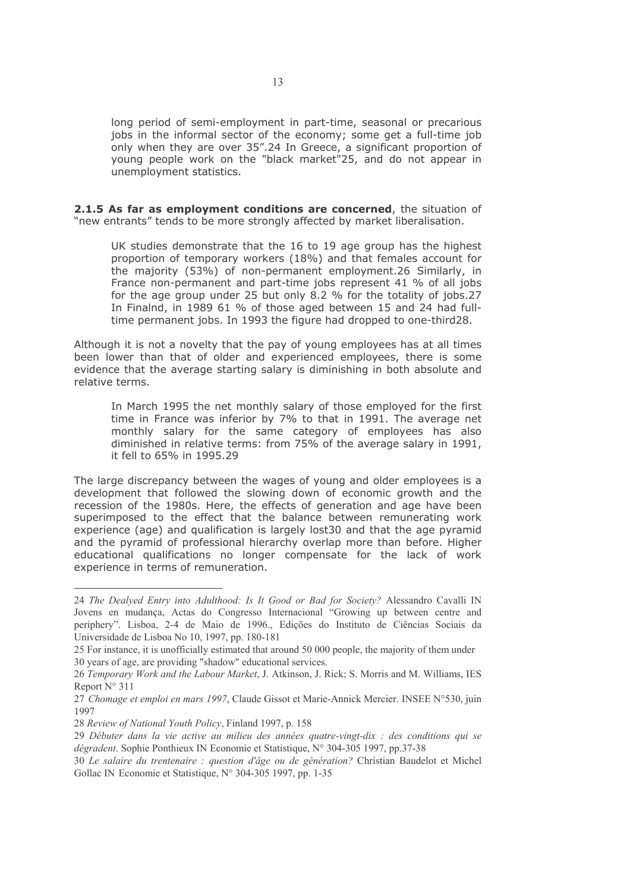long period of semi-employment in part-time, seasonal or precarious jobs in the informal sector of the economy; some get a full-time job only when they are over 35".24 In Greece, a significant proportion of young people work on the "black market"25, and do not appear in unemployment statistics.

2.1.5 As far as employment conditions are concerned, the situation of "new entrants" tends to be more strongly affected by market liberalisation.

UK studies demonstrate that the 16 to 19 age group has the highest proportion of temporary workers (18%) and that females account for the majority (53%) of non-permanent employment.26 Similarly, in France non-permanent and part-time jobs represent 41 % of all jobs for the age group under 25 but only 8.2 % for the totality of jobs.27 In Finalnd, in 1989 61 % of those aged between 15 and 24 had fulltime permanent jobs. In 1993 the figure had dropped to one-third28.

Although it is not a novelty that the pay of young employees has at all times been lower than that of older and experienced employees, there is some evidence that the average starting salary is diminishing in both absolute and relative terms.

In March 1995 the net monthly salary of those employed for the first time in France was inferior by 7% to that in 1991. The average net monthly salary for the same category of employees has also diminished in relative terms: from 75% of the average salary in 1991, it fell to 65% in 1995.29

The large discrepancy between the wages of young and older employees is a development that followed the slowing down of economic growth and the recession of the 1980s. Here, the effects of generation and age have been superimposed to the effect that the balance between remunerating work experience (age) and qualification is largely lost30 and that the age pyramid and the pyramid of professional hierarchy overlap more than before. Higher educational qualifications no longer compensate for the lack of work experience in terms of remuneration.

<sup>24</sup> The Dealyed Entry into Adulthood: Is It Good or Bad for Society? Alessandro Cavalli IN Jovens en mudança, Actas do Congresso Internacional "Growing up between centre and periphery". Lisboa, 2-4 de Maio de 1996., Edições do Instituto de Ciências Sociais da Universidade de Lisboa No 10, 1997, pp. 180-181

<sup>25</sup> For instance, it is unofficially estimated that around 50 000 people, the majority of them under 30 years of age, are providing "shadow" educational services.

<sup>26</sup> Temporary Work and the Labour Market, J. Atkinson, J. Rick; S. Morris and M. Williams, IES Report  $N^{\circ}$  311

<sup>27</sup> Chomage et emploi en mars 1997, Claude Gissot et Marie-Annick Mercier. INSEE N°530, juin 1997

<sup>28</sup> Review of National Youth Policy, Finland 1997, p. 158

<sup>29</sup> Débuter dans la vie active au milieu des années quatre-vingt-dix : des conditions qui se *dégradent*. Sophie Ponthieux IN Economie et Statistique. N° 304-305 1997, pp.37-38

<sup>30</sup> Le salaire du trentenaire : question d'âge ou de génération? Christian Baudelot et Michel Gollac IN Economie et Statistique, N° 304-305 1997, pp. 1-35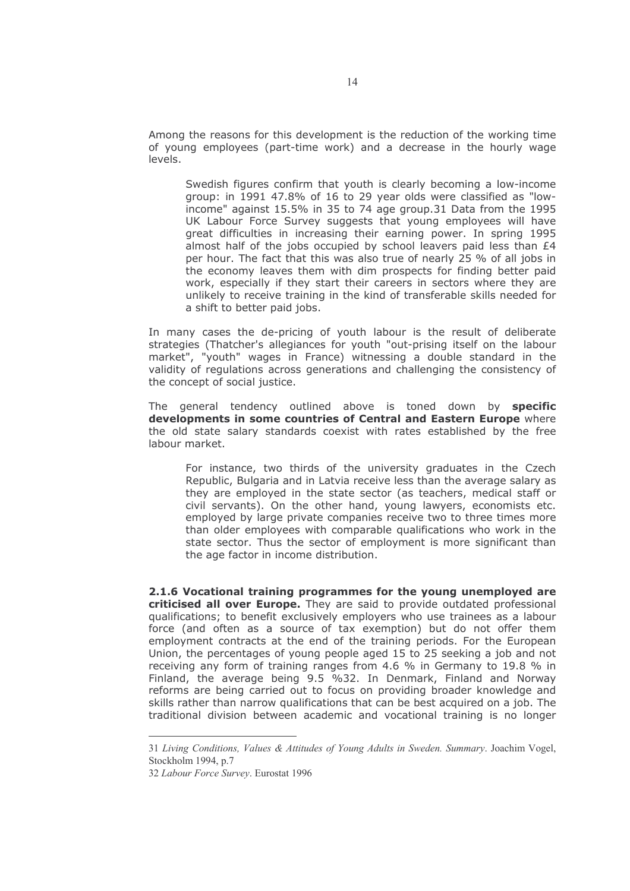Among the reasons for this development is the reduction of the working time of young employees (part-time work) and a decrease in the hourly wage levels.

Swedish figures confirm that youth is clearly becoming a low-income group: in 1991 47.8% of 16 to 29 year olds were classified as "lowincome" against 15.5% in 35 to 74 age group.31 Data from the 1995 UK Labour Force Survey suggests that young employees will have great difficulties in increasing their earning power. In spring 1995 almost half of the jobs occupied by school leavers paid less than  $E4$ per hour. The fact that this was also true of nearly 25 % of all jobs in the economy leaves them with dim prospects for finding better paid work, especially if they start their careers in sectors where they are unlikely to receive training in the kind of transferable skills needed for a shift to better paid jobs.

In many cases the de-pricing of youth labour is the result of deliberate strategies (Thatcher's allegiances for youth "out-prising itself on the labour market", "youth" wages in France) witnessing a double standard in the validity of regulations across generations and challenging the consistency of the concept of social justice.

The general tendency outlined above is toned down by specific developments in some countries of Central and Eastern Europe where the old state salary standards coexist with rates established by the free labour market.

For instance, two thirds of the university graduates in the Czech Republic, Bulgaria and in Latvia receive less than the average salary as they are employed in the state sector (as teachers, medical staff or civil servants). On the other hand, young lawyers, economists etc. employed by large private companies receive two to three times more than older employees with comparable qualifications who work in the state sector. Thus the sector of employment is more significant than the age factor in income distribution.

2.1.6 Vocational training programmes for the young unemployed are criticised all over Europe. They are said to provide outdated professional qualifications; to benefit exclusively employers who use trainees as a labour force (and often as a source of tax exemption) but do not offer them employment contracts at the end of the training periods. For the European Union, the percentages of young people aged 15 to 25 seeking a job and not receiving any form of training ranges from 4.6 % in Germany to 19.8 % in Finland, the average being 9.5 %32. In Denmark, Finland and Norway reforms are being carried out to focus on providing broader knowledge and skills rather than narrow qualifications that can be best acquired on a job. The traditional division between academic and vocational training is no longer

<sup>31</sup> Living Conditions, Values & Attitudes of Young Adults in Sweden, Summary, Joachim Vogel, Stockholm 1994, p.7

<sup>32</sup> Labour Force Survey. Eurostat 1996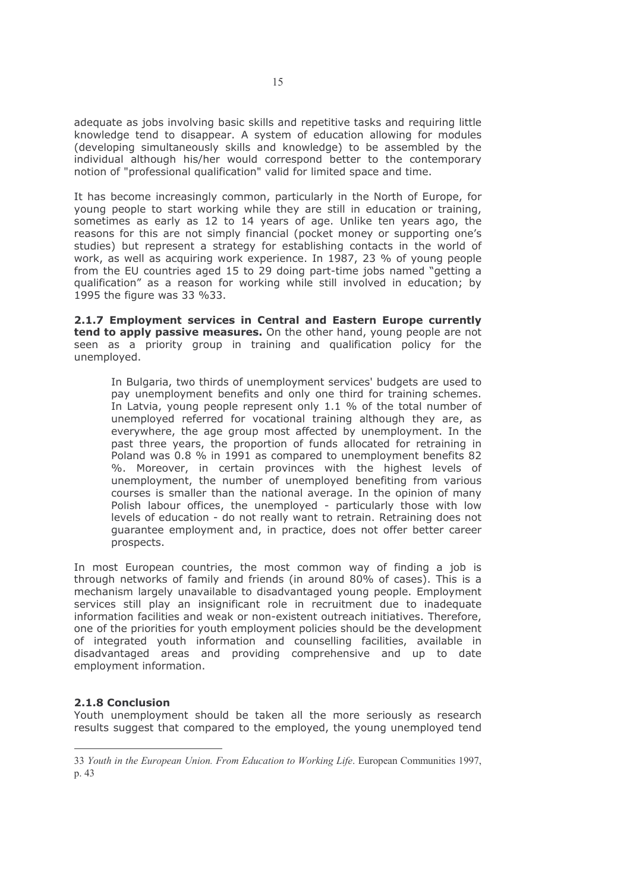adequate as jobs involving basic skills and repetitive tasks and requiring little knowledge tend to disappear. A system of education allowing for modules (developing simultaneously skills and knowledge) to be assembled by the individual although his/her would correspond better to the contemporary notion of "professional qualification" valid for limited space and time.

It has become increasingly common, particularly in the North of Europe, for young people to start working while they are still in education or training, sometimes as early as 12 to 14 years of age. Unlike ten years ago, the reasons for this are not simply financial (pocket money or supporting one's studies) but represent a strategy for establishing contacts in the world of work, as well as acquiring work experience. In 1987, 23 % of young people from the EU countries aged 15 to 29 doing part-time jobs named "getting a qualification" as a reason for working while still involved in education; by 1995 the figure was 33 %33.

2.1.7 Employment services in Central and Eastern Europe currently tend to apply passive measures. On the other hand, young people are not seen as a priority group in training and qualification policy for the unemployed.

In Bulgaria, two thirds of unemployment services' budgets are used to pay unemployment benefits and only one third for training schemes. In Latvia, young people represent only 1.1 % of the total number of unemployed referred for vocational training although they are, as everywhere, the age group most affected by unemployment. In the past three years, the proportion of funds allocated for retraining in Poland was 0.8 % in 1991 as compared to unemployment benefits 82 %. Moreover, in certain provinces with the highest levels of unemployment, the number of unemployed benefiting from various courses is smaller than the national average. In the opinion of many Polish labour offices, the unemployed - particularly those with low levels of education - do not really want to retrain. Retraining does not quarantee employment and, in practice, does not offer better career prospects.

In most European countries, the most common way of finding a job is through networks of family and friends (in around 80% of cases). This is a mechanism largely unavailable to disadvantaged young people. Employment services still play an insignificant role in recruitment due to inadequate information facilities and weak or non-existent outreach initiatives. Therefore, one of the priorities for youth employment policies should be the development of integrated youth information and counselling facilities, available in disadvantaged areas and providing comprehensive and up to date employment information.

#### **2.1.8 Conclusion**

Youth unemployment should be taken all the more seriously as research results suggest that compared to the employed, the young unemployed tend

<sup>33</sup> Youth in the European Union. From Education to Working Life. European Communities 1997, p. 43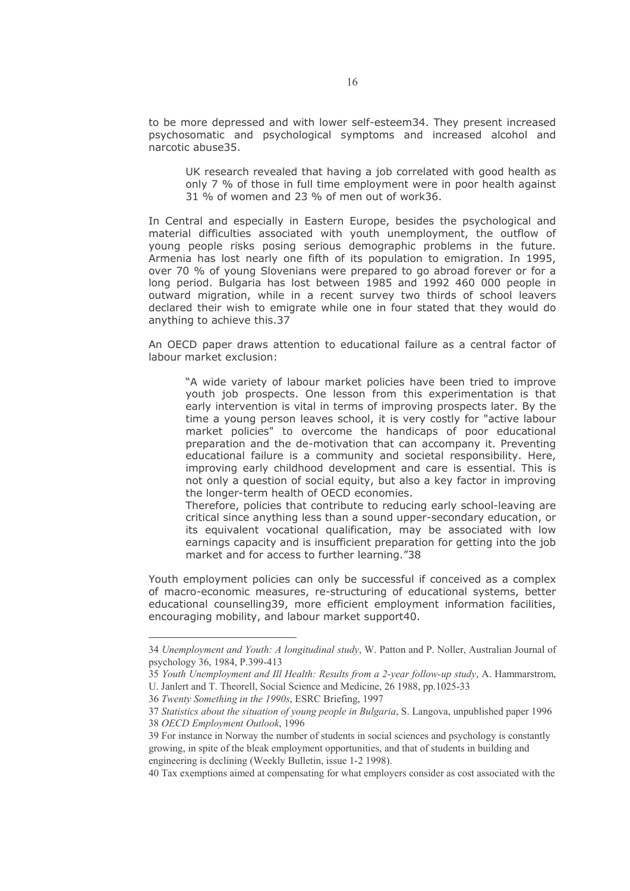to be more depressed and with lower self-esteem34. They present increased psychosomatic and psychological symptoms and increased alcohol and narcotic abuse35.

UK research revealed that having a job correlated with good health as only 7 % of those in full time employment were in poor health against 31 % of women and 23 % of men out of work36.

In Central and especially in Eastern Europe, besides the psychological and material difficulties associated with youth unemployment, the outflow of young people risks posing serious demographic problems in the future. Armenia has lost nearly one fifth of its population to emigration. In 1995, over 70 % of young Slovenians were prepared to go abroad forever or for a long period. Bulgaria has lost between 1985 and 1992 460 000 people in outward migration, while in a recent survey two thirds of school leavers declared their wish to emigrate while one in four stated that they would do anything to achieve this.37

An OECD paper draws attention to educational failure as a central factor of labour market exclusion:

"A wide variety of labour market policies have been tried to improve youth job prospects. One lesson from this experimentation is that early intervention is vital in terms of improving prospects later. By the time a young person leaves school, it is very costly for "active labour market policies" to overcome the handicaps of poor educational preparation and the de-motivation that can accompany it. Preventing educational failure is a community and societal responsibility. Here, improving early childhood development and care is essential. This is not only a question of social equity, but also a key factor in improving the longer-term health of OECD economies.

Therefore, policies that contribute to reducing early school-leaving are critical since anything less than a sound upper-secondary education, or its equivalent vocational qualification, may be associated with low earnings capacity and is insufficient preparation for getting into the job market and for access to further learning."38

Youth employment policies can only be successful if conceived as a complex of macro-economic measures, re-structuring of educational systems, better educational counselling39, more efficient employment information facilities, encouraging mobility, and labour market support40.

<sup>34</sup> Unemployment and Youth: A longitudinal study, W. Patton and P. Noller, Australian Journal of psychology 36, 1984, P.399-413

<sup>35</sup> Youth Unemployment and Ill Health: Results from a 2-year follow-up study, A. Hammarstrom, U. Janlert and T. Theorell, Social Science and Medicine, 26 1988, pp.1025-33

<sup>36</sup> Twenty Something in the 1990s, ESRC Briefing, 1997

<sup>37</sup> Statistics about the situation of young people in Bulgaria, S. Langova, unpublished paper 1996 38 OECD Employment Outlook, 1996

<sup>39</sup> For instance in Norway the number of students in social sciences and psychology is constantly growing, in spite of the bleak employment opportunities, and that of students in building and engineering is declining (Weekly Bulletin, issue 1-2 1998).

<sup>40</sup> Tax exemptions aimed at compensating for what employers consider as cost associated with the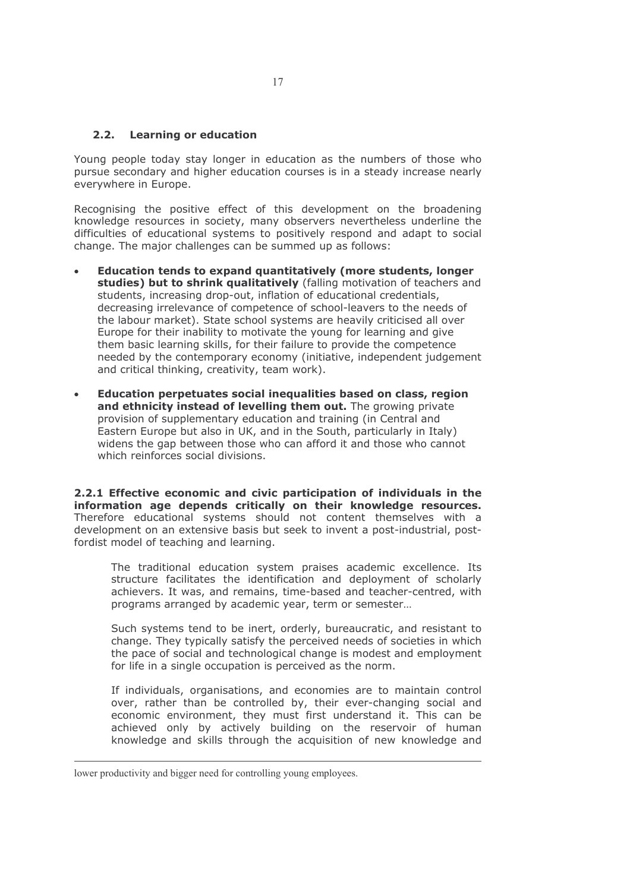#### 2.2. Learning or education

Young people today stay longer in education as the numbers of those who pursue secondary and higher education courses is in a steady increase nearly everywhere in Europe.

Recognising the positive effect of this development on the broadening knowledge resources in society, many observers nevertheless underline the difficulties of educational systems to positively respond and adapt to social change. The major challenges can be summed up as follows:

- Education tends to expand quantitatively (more students, longer studies) but to shrink qualitatively (falling motivation of teachers and students, increasing drop-out, inflation of educational credentials, decreasing irrelevance of competence of school-leavers to the needs of the labour market). State school systems are heavily criticised all over Europe for their inability to motivate the young for learning and give them basic learning skills, for their failure to provide the competence needed by the contemporary economy (initiative, independent judgement and critical thinking, creativity, team work).
- Education perpetuates social inequalities based on class, region and ethnicity instead of levelling them out. The growing private provision of supplementary education and training (in Central and Eastern Europe but also in UK, and in the South, particularly in Italy) widens the gap between those who can afford it and those who cannot which reinforces social divisions.

2.2.1 Effective economic and civic participation of individuals in the information age depends critically on their knowledge resources. Therefore educational systems should not content themselves with a development on an extensive basis but seek to invent a post-industrial, postfordist model of teaching and learning.

The traditional education system praises academic excellence. Its structure facilitates the identification and deployment of scholarly achievers. It was, and remains, time-based and teacher-centred, with programs arranged by academic year, term or semester...

Such systems tend to be inert, orderly, bureaucratic, and resistant to change. They typically satisfy the perceived needs of societies in which the pace of social and technological change is modest and employment for life in a single occupation is perceived as the norm.

If individuals, organisations, and economies are to maintain control over, rather than be controlled by, their ever-changing social and economic environment, they must first understand it. This can be achieved only by actively building on the reservoir of human knowledge and skills through the acquisition of new knowledge and

lower productivity and bigger need for controlling young employees.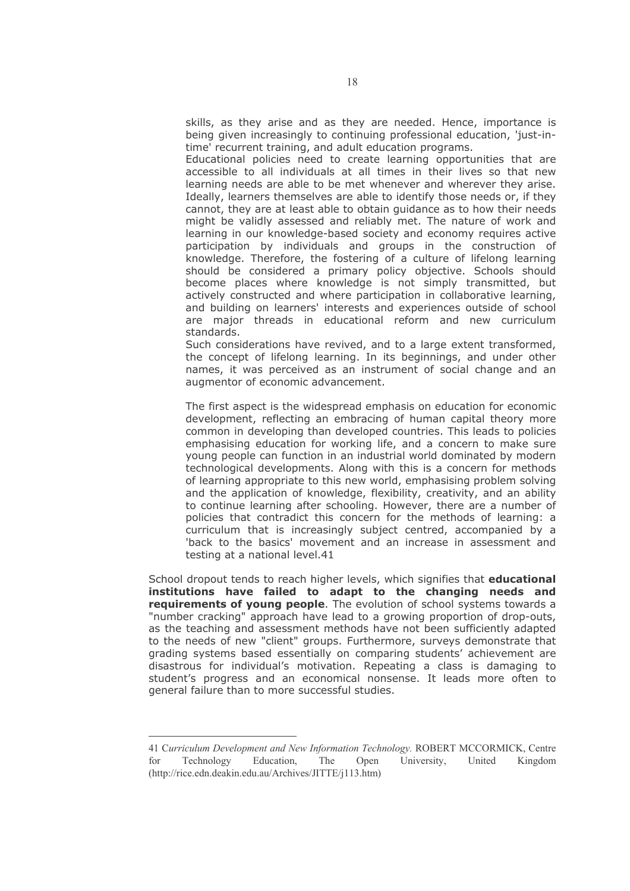skills, as they arise and as they are needed. Hence, importance is being given increasingly to continuing professional education, 'just-intime' recurrent training, and adult education programs.

Educational policies need to create learning opportunities that are accessible to all individuals at all times in their lives so that new learning needs are able to be met whenever and wherever they arise. Ideally, learners themselves are able to identify those needs or, if they cannot, they are at least able to obtain guidance as to how their needs might be validly assessed and reliably met. The nature of work and learning in our knowledge-based society and economy requires active participation by individuals and groups in the construction of knowledge. Therefore, the fostering of a culture of lifelong learning should be considered a primary policy objective. Schools should become places where knowledge is not simply transmitted, but actively constructed and where participation in collaborative learning, and building on learners' interests and experiences outside of school are major threads in educational reform and new curriculum standards.

Such considerations have revived, and to a large extent transformed, the concept of lifelong learning. In its beginnings, and under other names, it was perceived as an instrument of social change and an augmentor of economic advancement.

The first aspect is the widespread emphasis on education for economic development, reflecting an embracing of human capital theory more common in developing than developed countries. This leads to policies emphasising education for working life, and a concern to make sure young people can function in an industrial world dominated by modern technological developments. Along with this is a concern for methods of learning appropriate to this new world, emphasising problem solving and the application of knowledge, flexibility, creativity, and an ability to continue learning after schooling. However, there are a number of policies that contradict this concern for the methods of learning: a curriculum that is increasingly subject centred, accompanied by a 'back to the basics' movement and an increase in assessment and testing at a national level.41

School dropout tends to reach higher levels, which signifies that educational institutions have failed to adapt to the changing needs and requirements of young people. The evolution of school systems towards a "number cracking" approach have lead to a growing proportion of drop-outs, as the teaching and assessment methods have not been sufficiently adapted to the needs of new "client" groups. Furthermore, surveys demonstrate that grading systems based essentially on comparing students' achievement are disastrous for individual's motivation. Repeating a class is damaging to student's progress and an economical nonsense. It leads more often to general failure than to more successful studies.

<sup>41</sup> Curriculum Development and New Information Technology, ROBERT MCCORMICK, Centre  $for$ Technology Education. The Open University. United Kingdom (http://rice.edn.deakin.edu.au/Archives/JITTE/j113.htm)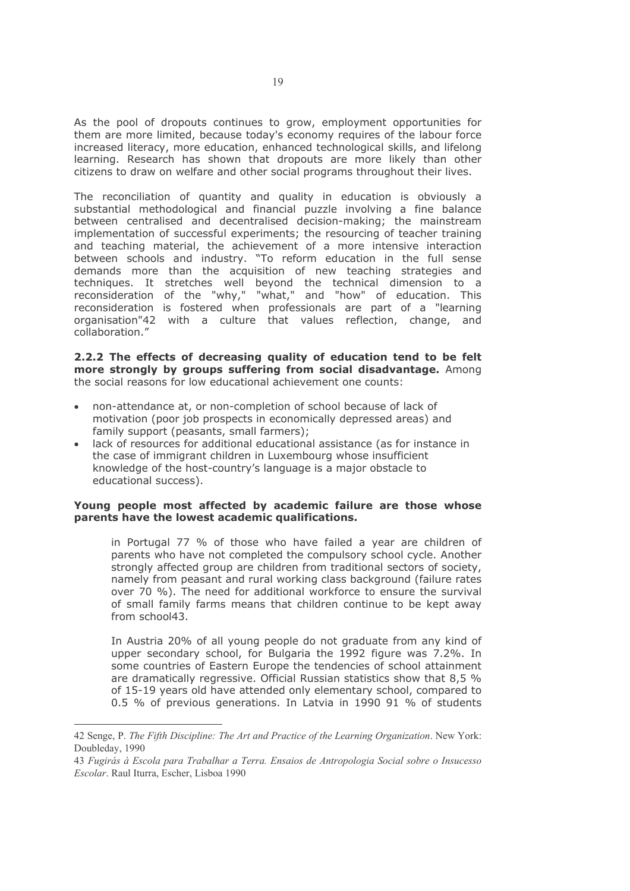As the pool of dropouts continues to grow, employment opportunities for them are more limited, because today's economy requires of the labour force increased literacy, more education, enhanced technological skills, and lifelong learning. Research has shown that dropouts are more likely than other citizens to draw on welfare and other social programs throughout their lives.

The reconciliation of quantity and quality in education is obviously a substantial methodological and financial puzzle involving a fine balance between centralised and decentralised decision-making; the mainstream implementation of successful experiments; the resourcing of teacher training and teaching material, the achievement of a more intensive interaction between schools and industry. "To reform education in the full sense demands more than the acquisition of new teaching strategies and techniques. It stretches well beyond the technical dimension to a reconsideration of the "why," "what," and "how" of education. This reconsideration is fostered when professionals are part of a "learning organisation"42 with a culture that values reflection, change, and collaboration."

2.2.2 The effects of decreasing quality of education tend to be felt more strongly by groups suffering from social disadvantage. Among the social reasons for low educational achievement one counts:

- non-attendance at, or non-completion of school because of lack of motivation (poor job prospects in economically depressed areas) and family support (peasants, small farmers);
- lack of resources for additional educational assistance (as for instance in the case of immigrant children in Luxembourg whose insufficient knowledge of the host-country's language is a major obstacle to educational success).

#### Young people most affected by academic failure are those whose parents have the lowest academic qualifications.

in Portugal 77 % of those who have failed a year are children of parents who have not completed the compulsory school cycle. Another strongly affected group are children from traditional sectors of society, namely from peasant and rural working class background (failure rates over 70 %). The need for additional workforce to ensure the survival of small family farms means that children continue to be kept away from school43.

In Austria 20% of all young people do not graduate from any kind of upper secondary school, for Bulgaria the 1992 figure was 7.2%. In some countries of Eastern Europe the tendencies of school attainment are dramatically regressive. Official Russian statistics show that 8,5 % of 15-19 years old have attended only elementary school, compared to 0.5 % of previous generations. In Latvia in 1990 91 % of students

<sup>42</sup> Senge, P. The Fifth Discipline: The Art and Practice of the Learning Organization. New York: Doubleday, 1990

<sup>43</sup> Fugirás à Escola para Trabalhar a Terra. Ensaios de Antropologia Social sobre o Insucesso Escolar. Raul Iturra, Escher, Lisboa 1990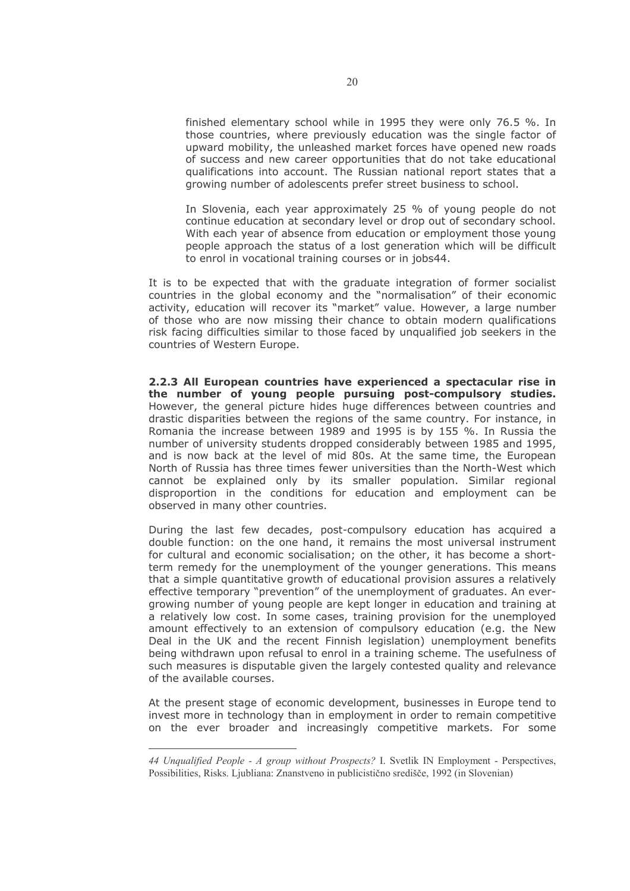finished elementary school while in 1995 they were only 76.5 %. In those countries, where previously education was the single factor of upward mobility, the unleashed market forces have opened new roads of success and new career opportunities that do not take educational qualifications into account. The Russian national report states that a growing number of adolescents prefer street business to school.

In Slovenia, each year approximately 25 % of young people do not continue education at secondary level or drop out of secondary school. With each year of absence from education or employment those young people approach the status of a lost generation which will be difficult to enrol in vocational training courses or in jobs44.

It is to be expected that with the graduate integration of former socialist countries in the global economy and the "normalisation" of their economic activity, education will recover its "market" value. However, a large number of those who are now missing their chance to obtain modern qualifications risk facing difficulties similar to those faced by ungualified job seekers in the countries of Western Europe.

2.2.3 All European countries have experienced a spectacular rise in the number of young people pursuing post-compulsory studies. However, the general picture hides huge differences between countries and drastic disparities between the regions of the same country. For instance, in Romania the increase between 1989 and 1995 is by 155 %. In Russia the number of university students dropped considerably between 1985 and 1995, and is now back at the level of mid 80s. At the same time, the European North of Russia has three times fewer universities than the North-West which cannot be explained only by its smaller population. Similar regional disproportion in the conditions for education and employment can be observed in many other countries.

During the last few decades, post-compulsory education has acquired a double function: on the one hand, it remains the most universal instrument for cultural and economic socialisation; on the other, it has become a shortterm remedy for the unemployment of the younger generations. This means that a simple quantitative growth of educational provision assures a relatively effective temporary "prevention" of the unemployment of graduates. An evergrowing number of young people are kept longer in education and training at a relatively low cost. In some cases, training provision for the unemployed amount effectively to an extension of compulsory education (e.g. the New Deal in the UK and the recent Finnish legislation) unemployment benefits being withdrawn upon refusal to enrol in a training scheme. The usefulness of such measures is disputable given the largely contested quality and relevance of the available courses.

At the present stage of economic development, businesses in Europe tend to invest more in technology than in employment in order to remain competitive on the ever broader and increasingly competitive markets. For some

<sup>44</sup> Unqualified People - A group without Prospects? I. Svetlik IN Employment - Perspectives, Possibilities, Risks. Ljubliana: Znanstveno in publicistično središče, 1992 (in Slovenian)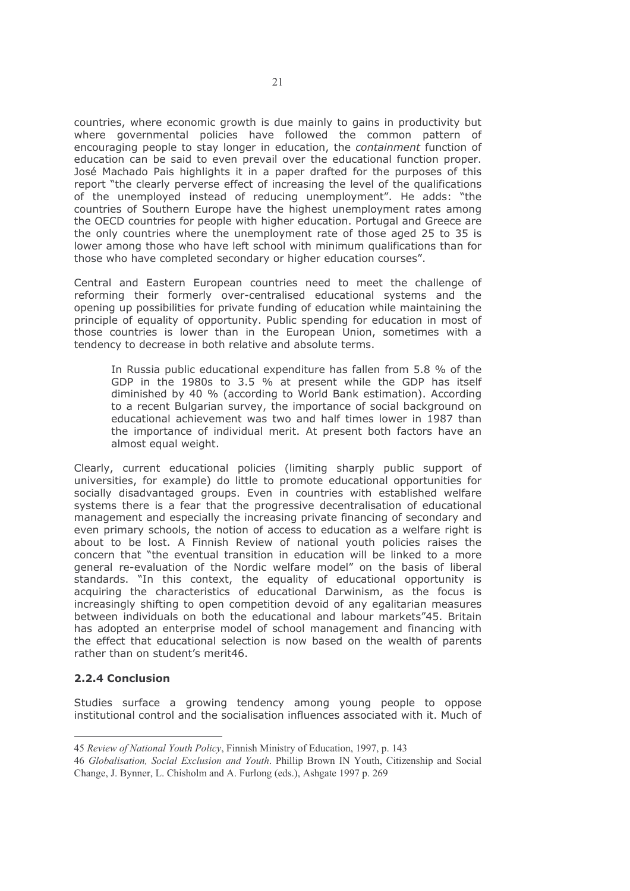countries, where economic growth is due mainly to gains in productivity but where governmental policies have followed the common pattern of encouraging people to stay longer in education, the *containment* function of education can be said to even prevail over the educational function proper. José Machado Pais highlights it in a paper drafted for the purposes of this report "the clearly perverse effect of increasing the level of the qualifications of the unemployed instead of reducing unemployment". He adds: "the countries of Southern Europe have the highest unemployment rates among the OECD countries for people with higher education. Portugal and Greece are the only countries where the unemployment rate of those aged 25 to 35 is lower among those who have left school with minimum qualifications than for those who have completed secondary or higher education courses".

Central and Eastern European countries need to meet the challenge of reforming their formerly over-centralised educational systems and the opening up possibilities for private funding of education while maintaining the principle of equality of opportunity. Public spending for education in most of those countries is lower than in the European Union, sometimes with a tendency to decrease in both relative and absolute terms.

In Russia public educational expenditure has fallen from 5.8 % of the GDP in the 1980s to 3.5 % at present while the GDP has itself diminished by 40 % (according to World Bank estimation). According to a recent Bulgarian survey, the importance of social background on educational achievement was two and half times lower in 1987 than the importance of individual merit. At present both factors have an almost equal weight.

Clearly, current educational policies (limiting sharply public support of universities, for example) do little to promote educational opportunities for socially disadvantaged groups. Even in countries with established welfare systems there is a fear that the progressive decentralisation of educational management and especially the increasing private financing of secondary and even primary schools, the notion of access to education as a welfare right is about to be lost. A Finnish Review of national youth policies raises the concern that "the eventual transition in education will be linked to a more general re-evaluation of the Nordic welfare model" on the basis of liberal standards. "In this context, the equality of educational opportunity is acquiring the characteristics of educational Darwinism, as the focus is increasingly shifting to open competition devoid of any egalitarian measures between individuals on both the educational and labour markets"45. Britain has adopted an enterprise model of school management and financing with the effect that educational selection is now based on the wealth of parents rather than on student's merit46.

#### 2.2.4 Conclusion

Studies surface a growing tendency among young people to oppose institutional control and the socialisation influences associated with it. Much of

<sup>45</sup> Review of National Youth Policy, Finnish Ministry of Education, 1997, p. 143

<sup>46</sup> Globalisation, Social Exclusion and Youth. Phillip Brown IN Youth, Citizenship and Social Change, J. Bynner, L. Chisholm and A. Furlong (eds.), Ashgate 1997 p. 269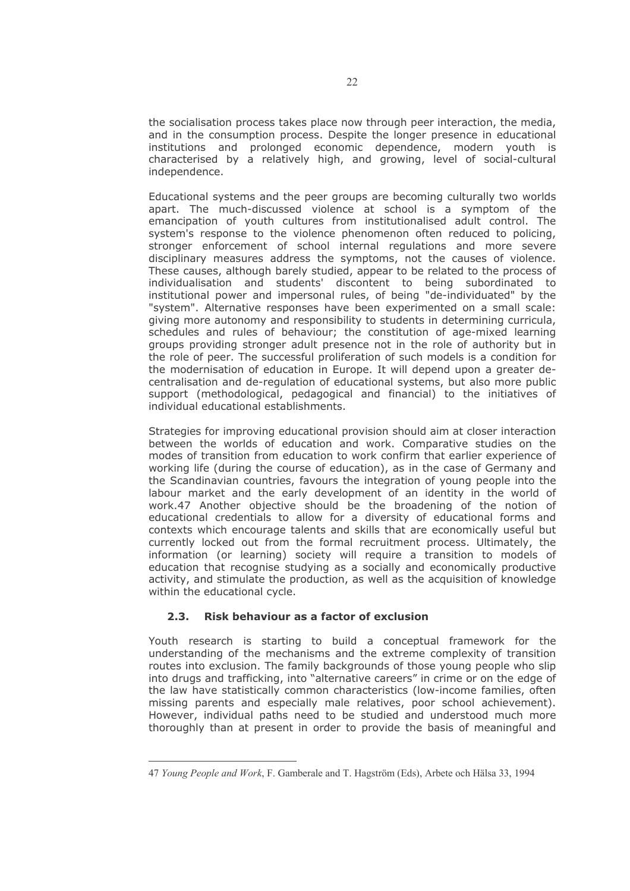the socialisation process takes place now through peer interaction, the media, and in the consumption process. Despite the longer presence in educational institutions and prolonged economic dependence, modern youth is characterised by a relatively high, and growing, level of social-cultural independence.

Educational systems and the peer groups are becoming culturally two worlds apart. The much-discussed violence at school is a symptom of the emancipation of youth cultures from institutionalised adult control. The system's response to the violence phenomenon often reduced to policing, stronger enforcement of school internal regulations and more severe disciplinary measures address the symptoms, not the causes of violence. These causes, although barely studied, appear to be related to the process of individualisation and students' discontent to being subordinated to institutional power and impersonal rules, of being "de-individuated" by the "system". Alternative responses have been experimented on a small scale: giving more autonomy and responsibility to students in determining curricula, schedules and rules of behaviour; the constitution of age-mixed learning groups providing stronger adult presence not in the role of authority but in the role of peer. The successful proliferation of such models is a condition for the modernisation of education in Europe. It will depend upon a greater decentralisation and de-regulation of educational systems, but also more public support (methodological, pedagogical and financial) to the initiatives of individual educational establishments.

Strategies for improving educational provision should aim at closer interaction between the worlds of education and work. Comparative studies on the modes of transition from education to work confirm that earlier experience of working life (during the course of education), as in the case of Germany and the Scandinavian countries, favours the integration of young people into the labour market and the early development of an identity in the world of work.47 Another objective should be the broadening of the notion of educational credentials to allow for a diversity of educational forms and contexts which encourage talents and skills that are economically useful but currently locked out from the formal recruitment process. Ultimately, the information (or learning) society will require a transition to models of education that recognise studying as a socially and economically productive activity, and stimulate the production, as well as the acquisition of knowledge within the educational cycle.

#### $2.3.$ Risk behaviour as a factor of exclusion

Youth research is starting to build a conceptual framework for the understanding of the mechanisms and the extreme complexity of transition routes into exclusion. The family backgrounds of those young people who slip into drugs and trafficking, into "alternative careers" in crime or on the edge of the law have statistically common characteristics (low-income families, often missing parents and especially male relatives, poor school achievement). However, individual paths need to be studied and understood much more thoroughly than at present in order to provide the basis of meaningful and

<sup>47</sup> Young People and Work, F. Gamberale and T. Hagström (Eds), Arbete och Hälsa 33, 1994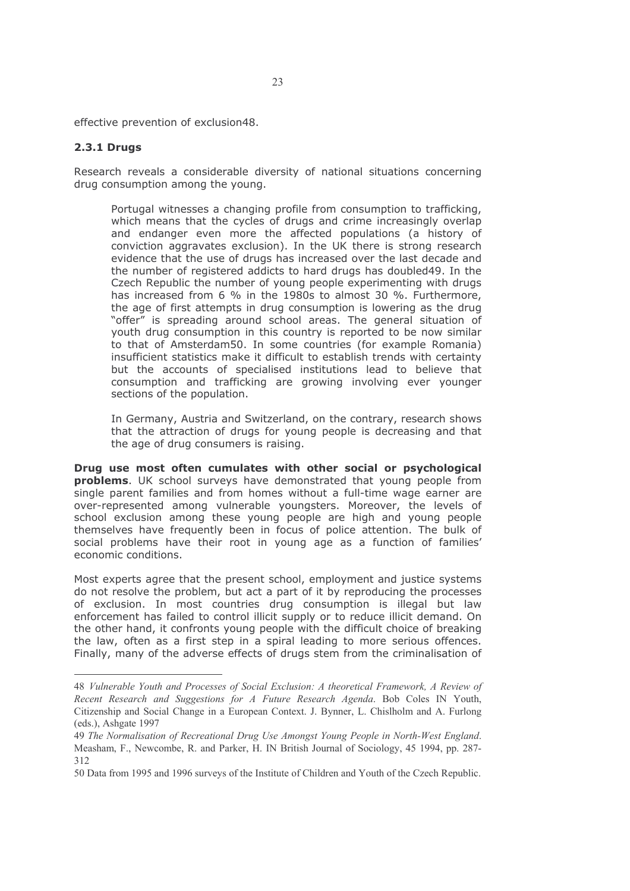effective prevention of exclusion48.

#### **2.3.1 Drugs**

Research reveals a considerable diversity of national situations concerning drug consumption among the young.

Portugal witnesses a changing profile from consumption to trafficking, which means that the cycles of drugs and crime increasingly overlap and endanger even more the affected populations (a history of conviction aggravates exclusion). In the UK there is strong research evidence that the use of drugs has increased over the last decade and the number of registered addicts to hard drugs has doubled 49. In the Czech Republic the number of young people experimenting with drugs has increased from 6 % in the 1980s to almost 30 %. Furthermore, the age of first attempts in drug consumption is lowering as the drug "offer" is spreading around school areas. The general situation of youth drug consumption in this country is reported to be now similar to that of Amsterdam50. In some countries (for example Romania) insufficient statistics make it difficult to establish trends with certainty but the accounts of specialised institutions lead to believe that consumption and trafficking are growing involving ever younger sections of the population.

In Germany, Austria and Switzerland, on the contrary, research shows that the attraction of drugs for young people is decreasing and that the age of drug consumers is raising.

Drug use most often cumulates with other social or psychological problems. UK school surveys have demonstrated that young people from single parent families and from homes without a full-time wage earner are over-represented among vulnerable youngsters. Moreover, the levels of school exclusion among these young people are high and young people themselves have frequently been in focus of police attention. The bulk of social problems have their root in young age as a function of families' economic conditions.

Most experts agree that the present school, employment and justice systems do not resolve the problem, but act a part of it by reproducing the processes of exclusion. In most countries drug consumption is illegal but law enforcement has failed to control illicit supply or to reduce illicit demand. On the other hand, it confronts young people with the difficult choice of breaking the law, often as a first step in a spiral leading to more serious offences. Finally, many of the adverse effects of drugs stem from the criminalisation of

<sup>48</sup> Vulnerable Youth and Processes of Social Exclusion: A theoretical Framework, A Review of Recent Research and Suggestions for A Future Research Agenda. Bob Coles IN Youth, Citizenship and Social Change in a European Context. J. Bynner, L. Chislholm and A. Furlong (eds.), Ashgate 1997

<sup>49</sup> The Normalisation of Recreational Drug Use Amongst Young People in North-West England. Measham, F., Newcombe, R. and Parker, H. IN British Journal of Sociology, 45 1994, pp. 287-312

<sup>50</sup> Data from 1995 and 1996 surveys of the Institute of Children and Youth of the Czech Republic.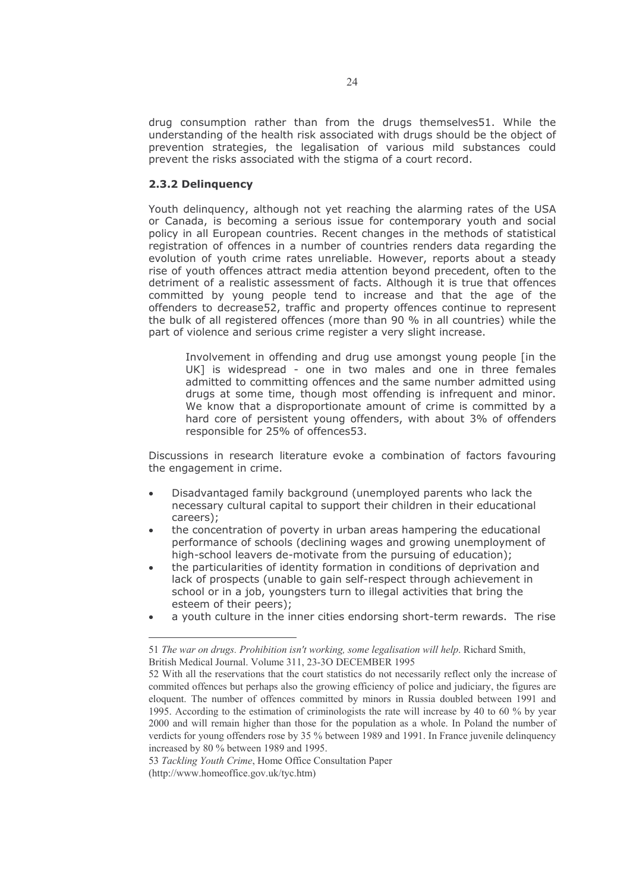drug consumption rather than from the drugs themselves51. While the understanding of the health risk associated with drugs should be the object of prevention strategies, the legalisation of various mild substances could prevent the risks associated with the stigma of a court record.

#### 2.3.2 Delinguency

Youth delinguency, although not yet reaching the alarming rates of the USA or Canada, is becoming a serious issue for contemporary youth and social policy in all European countries. Recent changes in the methods of statistical registration of offences in a number of countries renders data regarding the evolution of youth crime rates unreliable. However, reports about a steady rise of youth offences attract media attention beyond precedent, often to the detriment of a realistic assessment of facts. Although it is true that offences committed by young people tend to increase and that the age of the offenders to decrease52, traffic and property offences continue to represent the bulk of all registered offences (more than 90 % in all countries) while the part of violence and serious crime register a very slight increase.

Involvement in offending and drug use amongst young people [in the UK] is widespread - one in two males and one in three females admitted to committing offences and the same number admitted using drugs at some time, though most offending is infrequent and minor. We know that a disproportionate amount of crime is committed by a hard core of persistent young offenders, with about 3% of offenders responsible for 25% of offences53.

Discussions in research literature evoke a combination of factors favouring the engagement in crime.

- Disadvantaged family background (unemployed parents who lack the necessary cultural capital to support their children in their educational careers):
- the concentration of poverty in urban areas hampering the educational performance of schools (declining wages and growing unemployment of high-school leavers de-motivate from the pursuing of education);
- the particularities of identity formation in conditions of deprivation and lack of prospects (unable to gain self-respect through achievement in school or in a job, youngsters turn to illegal activities that bring the esteem of their peers);
- a youth culture in the inner cities endorsing short-term rewards. The rise

<sup>51</sup> The war on drugs. Prohibition isn't working, some legalisation will help. Richard Smith, British Medical Journal. Volume 311, 23-30 DECEMBER 1995

<sup>52</sup> With all the reservations that the court statistics do not necessarily reflect only the increase of commited offences but perhaps also the growing efficiency of police and judiciary, the figures are eloquent. The number of offences committed by minors in Russia doubled between 1991 and 1995. According to the estimation of criminologists the rate will increase by 40 to 60 % by year 2000 and will remain higher than those for the population as a whole. In Poland the number of verdicts for young offenders rose by 35 % between 1989 and 1991. In France juvenile delinquency increased by 80 % between 1989 and 1995.

<sup>53</sup> Tackling Youth Crime, Home Office Consultation Paper (http://www.homeoffice.gov.uk/tyc.htm)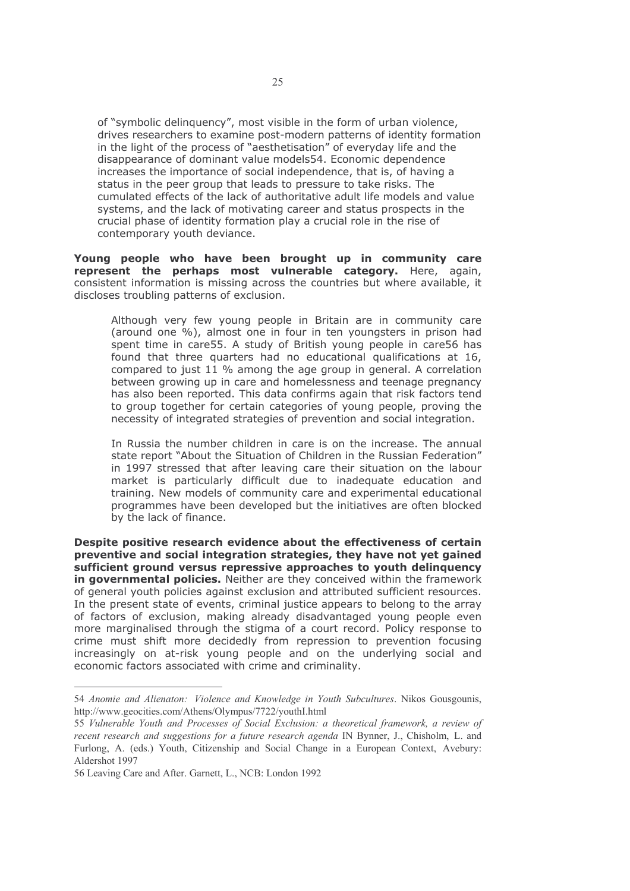of "symbolic delinguency", most visible in the form of urban violence, drives researchers to examine post-modern patterns of identity formation in the light of the process of "aesthetisation" of everyday life and the disappearance of dominant value models54. Economic dependence increases the importance of social independence, that is, of having a status in the peer group that leads to pressure to take risks. The cumulated effects of the lack of authoritative adult life models and value systems, and the lack of motivating career and status prospects in the crucial phase of identity formation play a crucial role in the rise of contemporary youth deviance.

Young people who have been brought up in community care represent the perhaps most vulnerable category. Here, again, consistent information is missing across the countries but where available, it discloses troubling patterns of exclusion.

Although very few young people in Britain are in community care (around one %), almost one in four in ten youngsters in prison had spent time in care55. A study of British young people in care56 has found that three quarters had no educational qualifications at 16, compared to just 11 % among the age group in general. A correlation between growing up in care and homelessness and teenage pregnancy has also been reported. This data confirms again that risk factors tend to group together for certain categories of young people, proving the necessity of integrated strategies of prevention and social integration.

In Russia the number children in care is on the increase. The annual state report "About the Situation of Children in the Russian Federation" in 1997 stressed that after leaving care their situation on the labour market is particularly difficult due to inadequate education and training. New models of community care and experimental educational programmes have been developed but the initiatives are often blocked by the lack of finance.

Despite positive research evidence about the effectiveness of certain preventive and social integration strategies, they have not yet gained sufficient ground versus repressive approaches to youth delinguency in governmental policies. Neither are they conceived within the framework of general youth policies against exclusion and attributed sufficient resources. In the present state of events, criminal justice appears to belong to the array of factors of exclusion, making already disadvantaged young people even more marginalised through the stigma of a court record. Policy response to crime must shift more decidedly from repression to prevention focusing increasingly on at-risk young people and on the underlying social and economic factors associated with crime and criminality.

<sup>54</sup> Anomie and Alienaton: Violence and Knowledge in Youth Subcultures. Nikos Gousgounis, http://www.geocities.com/Athens/Olympus/7722/youthI.html

<sup>55</sup> Vulnerable Youth and Processes of Social Exclusion: a theoretical framework, a review of recent research and suggestions for a future research agenda IN Bynner, J., Chisholm, L. and Furlong, A. (eds.) Youth, Citizenship and Social Change in a European Context, Avebury: Aldershot 1997

<sup>56</sup> Leaving Care and After. Garnett, L., NCB: London 1992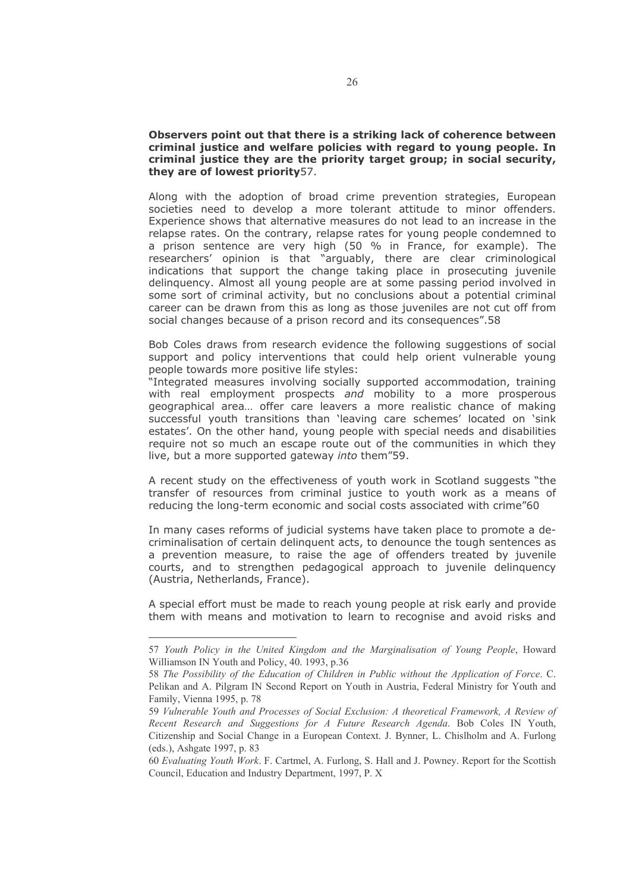#### Observers point out that there is a striking lack of coherence between criminal justice and welfare policies with regard to young people. In criminal justice they are the priority target group; in social security, they are of lowest priority 57.

Along with the adoption of broad crime prevention strategies, European societies need to develop a more tolerant attitude to minor offenders. Experience shows that alternative measures do not lead to an increase in the relapse rates. On the contrary, relapse rates for young people condemned to a prison sentence are very high (50 % in France, for example). The researchers' opinion is that "arguably, there are clear criminological indications that support the change taking place in prosecuting juvenile delinquency. Almost all young people are at some passing period involved in some sort of criminal activity, but no conclusions about a potential criminal career can be drawn from this as long as those juveniles are not cut off from social changes because of a prison record and its consequences".58

Bob Coles draws from research evidence the following suggestions of social support and policy interventions that could help orient vulnerable young people towards more positive life styles:

"Integrated measures involving socially supported accommodation, training with real employment prospects and mobility to a more prosperous geographical area... offer care leavers a more realistic chance of making successful youth transitions than 'leaving care schemes' located on 'sink estates'. On the other hand, young people with special needs and disabilities require not so much an escape route out of the communities in which they live, but a more supported gateway into them"59.

A recent study on the effectiveness of youth work in Scotland suggests "the transfer of resources from criminal justice to youth work as a means of reducing the long-term economic and social costs associated with crime"60

In many cases reforms of judicial systems have taken place to promote a decriminalisation of certain delinguent acts, to denounce the tough sentences as a prevention measure, to raise the age of offenders treated by juvenile courts, and to strengthen pedagogical approach to juvenile delinguency (Austria, Netherlands, France).

A special effort must be made to reach young people at risk early and provide them with means and motivation to learn to recognise and avoid risks and

<sup>57</sup> Youth Policy in the United Kingdom and the Marginalisation of Young People, Howard Williamson IN Youth and Policy, 40. 1993, p.36

<sup>58</sup> The Possibility of the Education of Children in Public without the Application of Force. C. Pelikan and A. Pilgram IN Second Report on Youth in Austria, Federal Ministry for Youth and Family, Vienna 1995, p. 78

<sup>59</sup> Vulnerable Youth and Processes of Social Exclusion: A theoretical Framework, A Review of Recent Research and Suggestions for A Future Research Agenda. Bob Coles IN Youth, Citizenship and Social Change in a European Context. J. Bynner, L. Chislholm and A. Furlong (eds.), Ashgate 1997, p. 83

<sup>60</sup> Evaluating Youth Work. F. Cartmel, A. Furlong, S. Hall and J. Powney. Report for the Scottish Council, Education and Industry Department, 1997, P. X.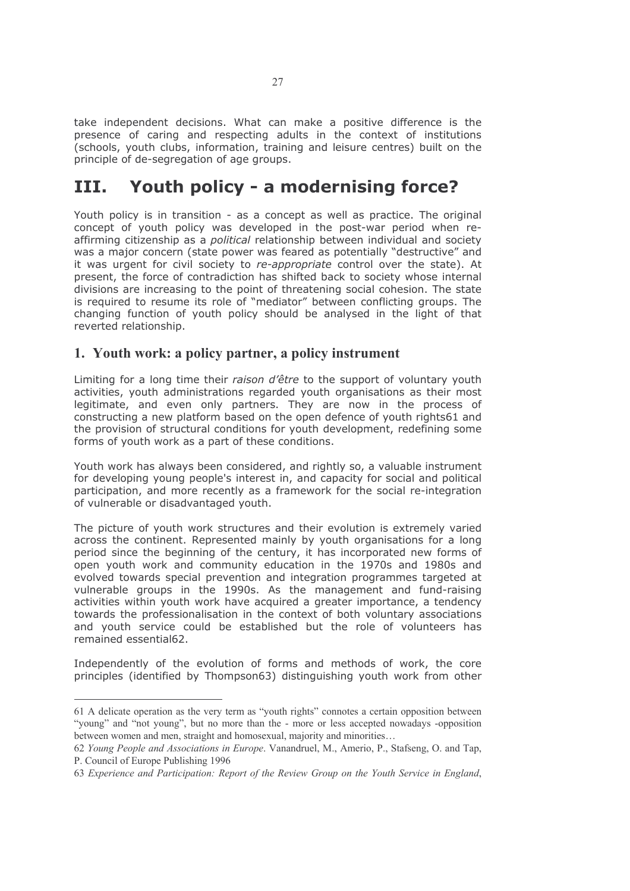take independent decisions. What can make a positive difference is the presence of caring and respecting adults in the context of institutions (schools, youth clubs, information, training and leisure centres) built on the principle of de-segregation of age groups.

#### Youth policy - a modernising force? III.

Youth policy is in transition - as a concept as well as practice. The original concept of youth policy was developed in the post-war period when reaffirming citizenship as a *political* relationship between individual and society was a major concern (state power was feared as potentially "destructive" and it was urgent for civil society to re-appropriate control over the state). At present, the force of contradiction has shifted back to society whose internal divisions are increasing to the point of threatening social cohesion. The state is required to resume its role of "mediator" between conflicting groups. The changing function of youth policy should be analysed in the light of that reverted relationship.

# 1. Youth work: a policy partner, a policy instrument

Limiting for a long time their raison d'être to the support of voluntary youth activities, youth administrations regarded youth organisations as their most legitimate, and even only partners. They are now in the process of constructing a new platform based on the open defence of youth rights61 and the provision of structural conditions for youth development, redefining some forms of youth work as a part of these conditions.

Youth work has always been considered, and rightly so, a valuable instrument for developing young people's interest in, and capacity for social and political participation, and more recently as a framework for the social re-integration of vulnerable or disadvantaged youth.

The picture of youth work structures and their evolution is extremely varied across the continent. Represented mainly by youth organisations for a long period since the beginning of the century, it has incorporated new forms of open youth work and community education in the 1970s and 1980s and evolved towards special prevention and integration programmes targeted at vulnerable groups in the 1990s. As the management and fund-raising activities within youth work have acquired a greater importance, a tendency towards the professionalisation in the context of both voluntary associations and youth service could be established but the role of yolunteers has remained essential62.

Independently of the evolution of forms and methods of work, the core principles (identified by Thompson63) distinguishing youth work from other

<sup>61</sup> A delicate operation as the very term as "youth rights" connotes a certain opposition between "young" and "not young", but no more than the - more or less accepted nowadays -opposition between women and men, straight and homosexual, majority and minorities...

<sup>62</sup> Young People and Associations in Europe, Vanandruel, M., Amerio, P., Stafseng, O. and Tap. P. Council of Europe Publishing 1996

<sup>63</sup> Experience and Participation: Report of the Review Group on the Youth Service in England,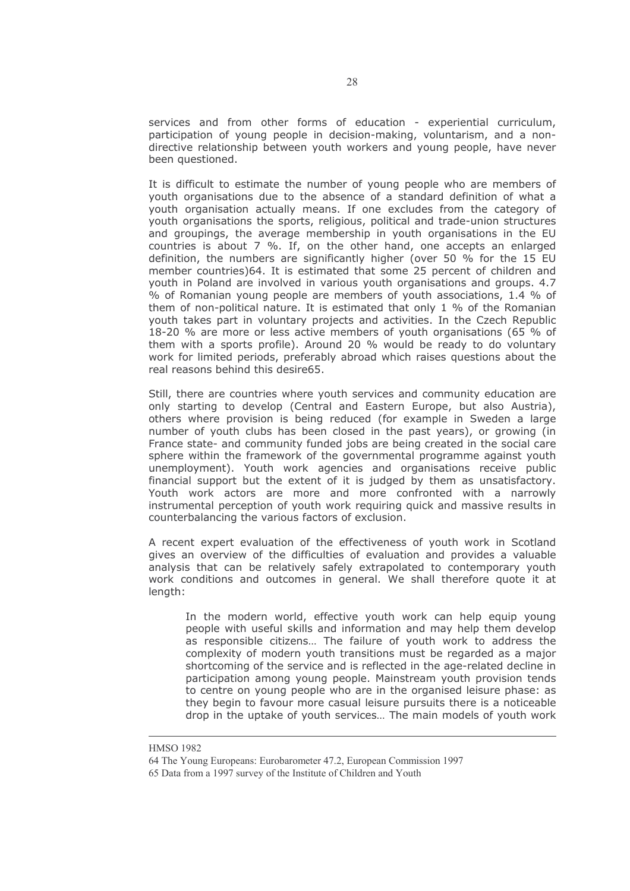services and from other forms of education - experiential curriculum, participation of young people in decision-making, voluntarism, and a nondirective relationship between youth workers and young people, have never been questioned.

It is difficult to estimate the number of young people who are members of youth organisations due to the absence of a standard definition of what a youth organisation actually means. If one excludes from the category of youth organisations the sports, religious, political and trade-union structures and groupings, the average membership in youth organisations in the EU countries is about 7 %. If, on the other hand, one accepts an enlarged definition, the numbers are significantly higher (over 50 % for the 15 EU member countries) 64. It is estimated that some 25 percent of children and youth in Poland are involved in various youth organisations and groups. 4.7 % of Romanian young people are members of youth associations, 1.4 % of them of non-political nature. It is estimated that only 1 % of the Romanian youth takes part in voluntary projects and activities. In the Czech Republic 18-20 % are more or less active members of youth organisations (65 % of them with a sports profile). Around 20 % would be ready to do voluntary work for limited periods, preferably abroad which raises questions about the real reasons behind this desire65.

Still, there are countries where youth services and community education are only starting to develop (Central and Eastern Europe, but also Austria), others where provision is being reduced (for example in Sweden a large number of youth clubs has been closed in the past years), or growing (in France state- and community funded jobs are being created in the social care sphere within the framework of the governmental programme against youth unemployment). Youth work agencies and organisations receive public financial support but the extent of it is judged by them as unsatisfactory. Youth work actors are more and more confronted with a narrowly instrumental perception of youth work requiring quick and massive results in counterbalancing the various factors of exclusion.

A recent expert evaluation of the effectiveness of youth work in Scotland gives an overview of the difficulties of evaluation and provides a valuable analysis that can be relatively safely extrapolated to contemporary youth work conditions and outcomes in general. We shall therefore quote it at length:

In the modern world, effective youth work can help equip young people with useful skills and information and may help them develop as responsible citizens... The failure of youth work to address the complexity of modern youth transitions must be regarded as a major shortcoming of the service and is reflected in the age-related decline in participation among young people. Mainstream youth provision tends to centre on young people who are in the organised leisure phase: as they begin to favour more casual leisure pursuits there is a noticeable drop in the uptake of youth services... The main models of youth work

**HMSO 1982** 

<sup>64</sup> The Young Europeans: Eurobarometer 47.2, European Commission 1997

<sup>65</sup> Data from a 1997 survey of the Institute of Children and Youth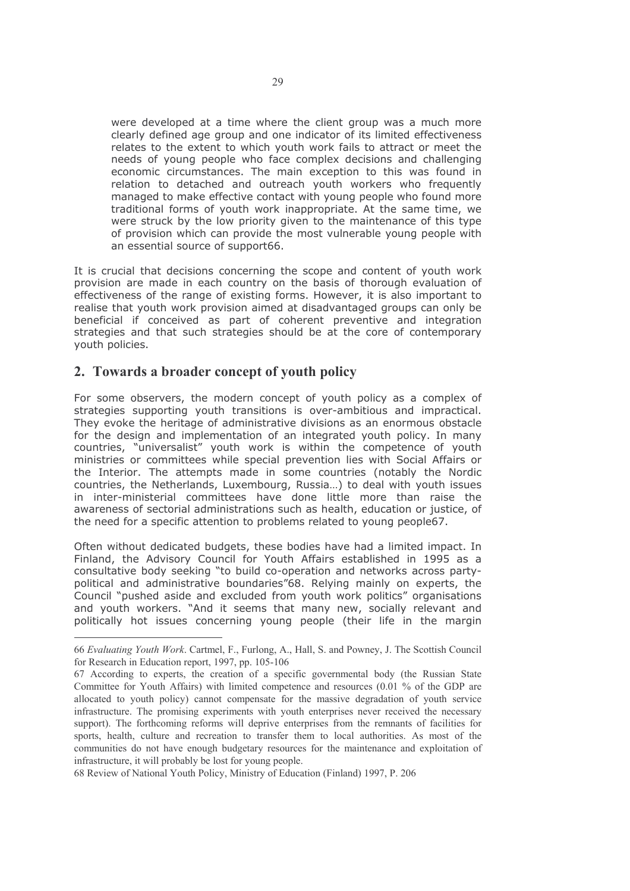were developed at a time where the client group was a much more clearly defined age group and one indicator of its limited effectiveness relates to the extent to which youth work fails to attract or meet the needs of young people who face complex decisions and challenging economic circumstances. The main exception to this was found in relation to detached and outreach youth workers who frequently managed to make effective contact with young people who found more traditional forms of youth work inappropriate. At the same time, we were struck by the low priority given to the maintenance of this type of provision which can provide the most vulnerable young people with an essential source of support66.

It is crucial that decisions concerning the scope and content of youth work provision are made in each country on the basis of thorough evaluation of effectiveness of the range of existing forms. However, it is also important to realise that youth work provision aimed at disadvantaged groups can only be beneficial if conceived as part of coherent preventive and integration strategies and that such strategies should be at the core of contemporary vouth policies.

# 2. Towards a broader concept of youth policy

For some observers, the modern concept of youth policy as a complex of strategies supporting youth transitions is over-ambitious and impractical. They evoke the heritage of administrative divisions as an enormous obstacle for the design and implementation of an integrated youth policy. In many countries, "universalist" youth work is within the competence of youth ministries or committees while special prevention lies with Social Affairs or the Interior. The attempts made in some countries (notably the Nordic countries, the Netherlands, Luxembourg, Russia...) to deal with youth issues in inter-ministerial committees have done little more than raise the awareness of sectorial administrations such as health, education or justice, of the need for a specific attention to problems related to young people67.

Often without dedicated budgets, these bodies have had a limited impact. In Finland, the Advisory Council for Youth Affairs established in 1995 as a consultative body seeking "to build co-operation and networks across partypolitical and administrative boundaries"68. Relying mainly on experts, the Council "pushed aside and excluded from youth work politics" organisations and youth workers. "And it seems that many new, socially relevant and politically hot issues concerning young people (their life in the margin

68 Review of National Youth Policy, Ministry of Education (Finland) 1997, P. 206

<sup>66</sup> Evaluating Youth Work. Cartmel, F., Furlong, A., Hall, S. and Powney, J. The Scottish Council for Research in Education report, 1997, pp. 105-106

<sup>67</sup> According to experts, the creation of a specific governmental body (the Russian State Committee for Youth Affairs) with limited competence and resources (0.01 % of the GDP are allocated to youth policy) cannot compensate for the massive degradation of youth service infrastructure. The promising experiments with youth enterprises never received the necessary support). The forthcoming reforms will deprive enterprises from the remnants of facilities for sports, health, culture and recreation to transfer them to local authorities. As most of the communities do not have enough budgetary resources for the maintenance and exploitation of infrastructure, it will probably be lost for young people.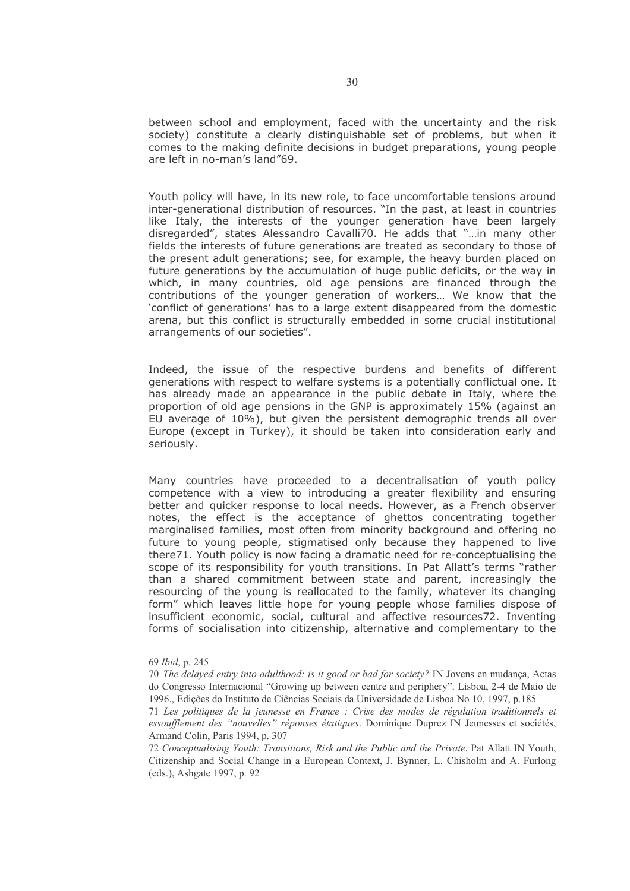between school and employment, faced with the uncertainty and the risk society) constitute a clearly distinguishable set of problems, but when it comes to the making definite decisions in budget preparations, young people are left in no-man's land"69.

Youth policy will have, in its new role, to face uncomfortable tensions around inter-generational distribution of resources. "In the past, at least in countries like Italy, the interests of the younger generation have been largely disregarded", states Alessandro Cavalli70. He adds that "...in many other fields the interests of future generations are treated as secondary to those of the present adult generations; see, for example, the heavy burden placed on future generations by the accumulation of huge public deficits, or the way in which, in many countries, old age pensions are financed through the contributions of the younger generation of workers... We know that the 'conflict of generations' has to a large extent disappeared from the domestic arena, but this conflict is structurally embedded in some crucial institutional arrangements of our societies".

Indeed, the issue of the respective burdens and benefits of different generations with respect to welfare systems is a potentially conflictual one. It has already made an appearance in the public debate in Italy, where the proportion of old age pensions in the GNP is approximately 15% (against an EU average of 10%), but given the persistent demographic trends all over Europe (except in Turkey), it should be taken into consideration early and seriously.

Many countries have proceeded to a decentralisation of youth policy competence with a view to introducing a greater flexibility and ensuring better and quicker response to local needs. However, as a French observer notes, the effect is the acceptance of ghettos concentrating together marginalised families, most often from minority background and offering no future to young people, stigmatised only because they happened to live there 71. Youth policy is now facing a dramatic need for re-conceptualising the scope of its responsibility for youth transitions. In Pat Allatt's terms "rather than a shared commitment between state and parent, increasingly the resourcing of the young is reallocated to the family, whatever its changing form" which leaves little hope for young people whose families dispose of insufficient economic, social, cultural and affective resources72. Inventing forms of socialisation into citizenship, alternative and complementary to the

<sup>69</sup> Ibid, p. 245

<sup>70</sup> The delayed entry into adulthood: is it good or bad for society? IN Jovens en mudança, Actas do Congresso Internacional "Growing up between centre and periphery". Lisboa, 2-4 de Maio de 1996., Edições do Instituto de Ciências Sociais da Universidade de Lisboa No 10, 1997, p.185

<sup>71</sup> Les politiques de la jeunesse en France : Crise des modes de régulation traditionnels et essoufflement des "nouvelles" réponses étatiques. Dominique Duprez IN Jeunesses et sociétés, Armand Colin, Paris 1994, p. 307

<sup>72</sup> Conceptualising Youth: Transitions. Risk and the Public and the Private. Pat Allatt IN Youth. Citizenship and Social Change in a European Context, J. Bynner, L. Chisholm and A. Furlong (eds.), Ashgate 1997, p. 92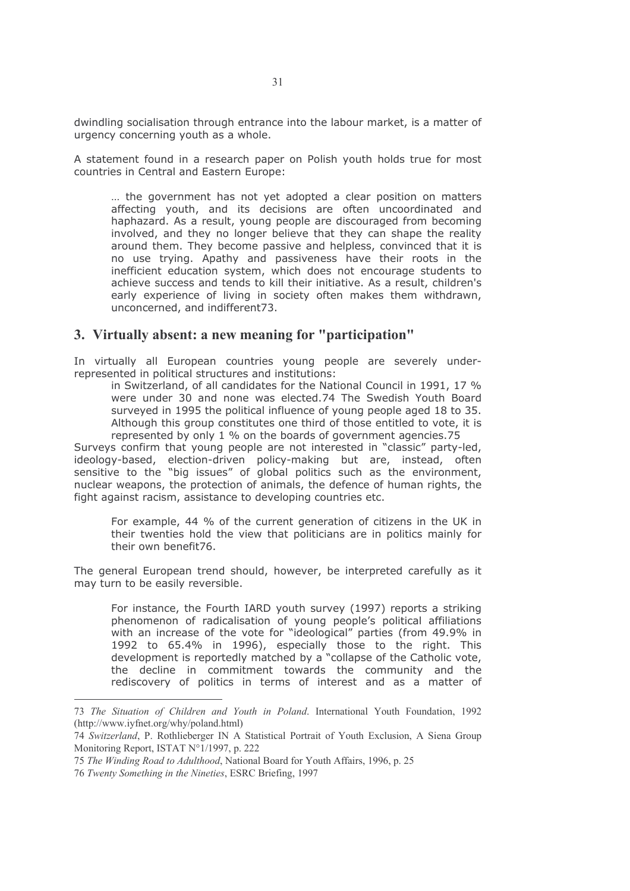dwindling socialisation through entrance into the labour market, is a matter of urgency concerning youth as a whole.

A statement found in a research paper on Polish youth holds true for most countries in Central and Eastern Europe:

... the government has not yet adopted a clear position on matters affecting youth, and its decisions are often uncoordinated and haphazard. As a result, young people are discouraged from becoming involved, and they no longer believe that they can shape the reality around them. They become passive and helpless, convinced that it is no use trying. Apathy and passiveness have their roots in the inefficient education system, which does not encourage students to achieve success and tends to kill their initiative. As a result, children's early experience of living in society often makes them withdrawn, unconcerned, and indifferent73.

### 3. Virtually absent: a new meaning for "participation"

In virtually all European countries young people are severely underrepresented in political structures and institutions:

in Switzerland, of all candidates for the National Council in 1991, 17 % were under 30 and none was elected.74 The Swedish Youth Board surveyed in 1995 the political influence of young people aged 18 to 35. Although this group constitutes one third of those entitled to vote, it is represented by only 1 % on the boards of government agencies.75

Surveys confirm that young people are not interested in "classic" party-led, ideology-based, election-driven policy-making but are, instead, often sensitive to the "big issues" of global politics such as the environment, nuclear weapons, the protection of animals, the defence of human rights, the fight against racism, assistance to developing countries etc.

For example, 44 % of the current generation of citizens in the UK in their twenties hold the view that politicians are in politics mainly for their own benefit76.

The general European trend should, however, be interpreted carefully as it may turn to be easily reversible.

For instance, the Fourth IARD youth survey (1997) reports a striking phenomenon of radicalisation of young people's political affiliations with an increase of the vote for "ideological" parties (from 49.9% in 1992 to 65.4% in 1996), especially those to the right. This development is reportedly matched by a "collapse of the Catholic vote, the decline in commitment towards the community and the rediscovery of politics in terms of interest and as a matter of

<sup>73</sup> The Situation of Children and Youth in Poland. International Youth Foundation, 1992 (http://www.iyfnet.org/why/poland.html)

<sup>74</sup> Switzerland, P. Rothlieberger IN A Statistical Portrait of Youth Exclusion, A Siena Group Monitoring Report, ISTAT N°1/1997, p. 222

<sup>75</sup> The Winding Road to Adulthood, National Board for Youth Affairs, 1996, p. 25

<sup>76</sup> Twenty Something in the Nineties, ESRC Briefing, 1997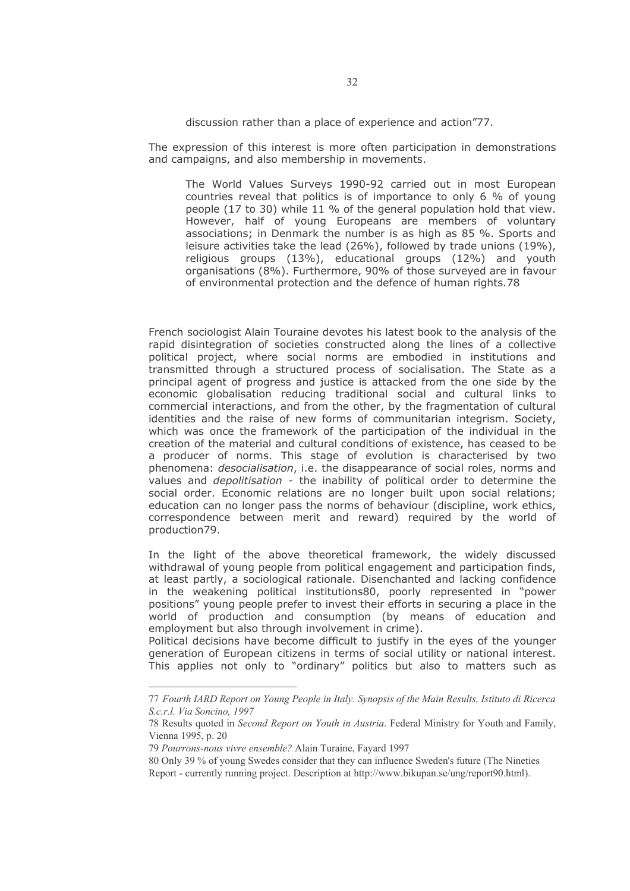discussion rather than a place of experience and action"77.

The expression of this interest is more often participation in demonstrations and campaigns, and also membership in movements.

The World Values Surveys 1990-92 carried out in most European countries reveal that politics is of importance to only 6 % of young people (17 to 30) while 11 % of the general population hold that view. However, half of young Europeans are members of voluntary associations; in Denmark the number is as high as 85 %. Sports and leisure activities take the lead  $(26%)$ , followed by trade unions  $(19%)$ , religious groups (13%), educational groups (12%) and youth organisations (8%). Furthermore, 90% of those surveyed are in favour of environmental protection and the defence of human rights.78

French sociologist Alain Touraine devotes his latest book to the analysis of the rapid disintegration of societies constructed along the lines of a collective political project, where social norms are embodied in institutions and transmitted through a structured process of socialisation. The State as a principal agent of progress and justice is attacked from the one side by the economic globalisation reducing traditional social and cultural links to commercial interactions, and from the other, by the fragmentation of cultural identities and the raise of new forms of communitarian integrism. Society, which was once the framework of the participation of the individual in the creation of the material and cultural conditions of existence, has ceased to be a producer of norms. This stage of evolution is characterised by two phenomena: desocialisation, i.e. the disappearance of social roles, norms and values and *depolitisation* - the inability of political order to determine the social order. Economic relations are no longer built upon social relations; education can no longer pass the norms of behaviour (discipline, work ethics, correspondence between merit and reward) required by the world of production79.

In the light of the above theoretical framework, the widely discussed withdrawal of young people from political engagement and participation finds, at least partly, a sociological rationale. Disenchanted and lacking confidence in the weakening political institutions80, poorly represented in "power positions" young people prefer to invest their efforts in securing a place in the world of production and consumption (by means of education and employment but also through involvement in crime).

Political decisions have become difficult to justify in the eyes of the younger generation of European citizens in terms of social utility or national interest. This applies not only to "ordinary" politics but also to matters such as

<sup>77</sup> Fourth IARD Report on Young People in Italy. Synopsis of the Main Results, Istituto di Ricerca S.c.r.l. Via Soncino, 1997

<sup>78</sup> Results quoted in Second Report on Youth in Austria. Federal Ministry for Youth and Family, Vienna 1995, p. 20

<sup>79</sup> Pourrons-nous vivre ensemble? Alain Turaine, Favard 1997

<sup>80</sup> Only 39 % of young Swedes consider that they can influence Sweden's future (The Nineties Report - currently running project. Description at http://www.bikupan.se/ung/report90.html).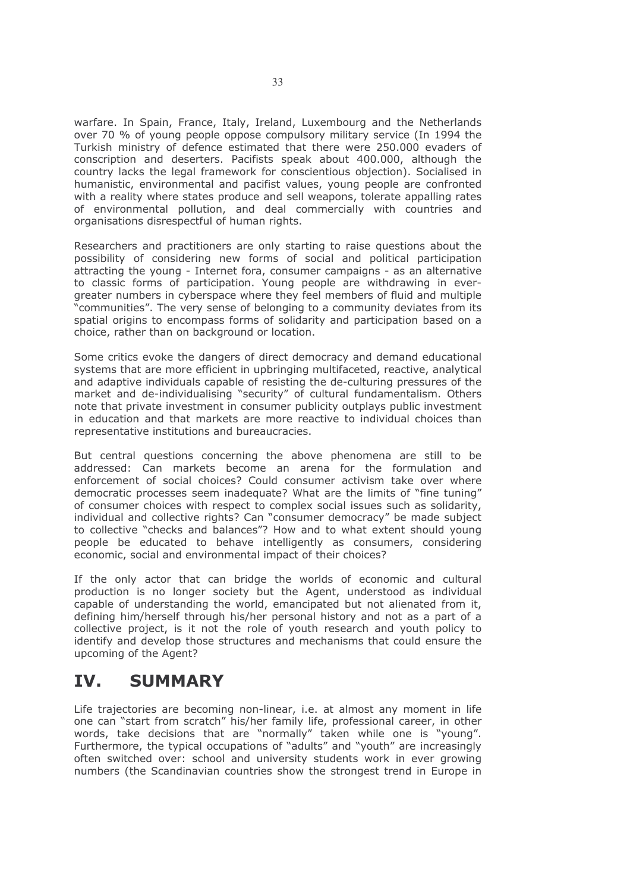warfare. In Spain, France, Italy, Ireland, Luxembourg and the Netherlands over 70 % of young people oppose compulsory military service (In 1994 the Turkish ministry of defence estimated that there were 250,000 evaders of conscription and deserters. Pacifists speak about 400.000, although the country lacks the legal framework for conscientious objection). Socialised in humanistic, environmental and pacifist values, young people are confronted with a reality where states produce and sell weapons, tolerate appalling rates of environmental pollution, and deal commercially with countries and organisations disrespectful of human rights.

Researchers and practitioners are only starting to raise questions about the possibility of considering new forms of social and political participation attracting the young - Internet fora, consumer campaigns - as an alternative to classic forms of participation. Young people are withdrawing in evergreater numbers in cyberspace where they feel members of fluid and multiple "communities". The very sense of belonging to a community deviates from its spatial origins to encompass forms of solidarity and participation based on a choice, rather than on background or location.

Some critics evoke the dangers of direct democracy and demand educational systems that are more efficient in upbringing multifaceted, reactive, analytical and adaptive individuals capable of resisting the de-culturing pressures of the market and de-individualising "security" of cultural fundamentalism. Others note that private investment in consumer publicity outplays public investment in education and that markets are more reactive to individual choices than representative institutions and bureaucracies.

But central questions concerning the above phenomena are still to be addressed: Can markets become an arena for the formulation and enforcement of social choices? Could consumer activism take over where democratic processes seem inadequate? What are the limits of "fine tuning" of consumer choices with respect to complex social issues such as solidarity, individual and collective rights? Can "consumer democracy" be made subject to collective "checks and balances"? How and to what extent should young people be educated to behave intelligently as consumers, considering economic, social and environmental impact of their choices?

If the only actor that can bridge the worlds of economic and cultural production is no longer society but the Agent, understood as individual capable of understanding the world, emancipated but not alienated from it, defining him/herself through his/her personal history and not as a part of a collective project, is it not the role of youth research and youth policy to identify and develop those structures and mechanisms that could ensure the upcoming of the Agent?

#### IV. **SUMMARY**

Life trajectories are becoming non-linear, i.e. at almost any moment in life one can "start from scratch" his/her family life, professional career, in other words, take decisions that are "normally" taken while one is "young". Furthermore, the typical occupations of "adults" and "youth" are increasingly often switched over: school and university students work in ever growing numbers (the Scandinavian countries show the strongest trend in Europe in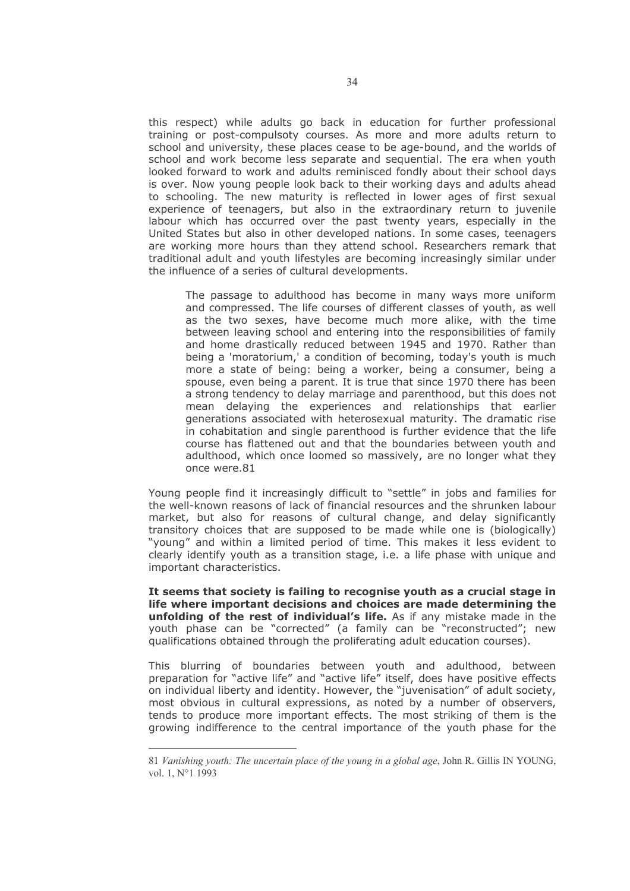this respect) while adults go back in education for further professional training or post-compulsoty courses. As more and more adults return to school and university, these places cease to be age-bound, and the worlds of school and work become less separate and sequential. The era when youth looked forward to work and adults reminisced fondly about their school days is over. Now young people look back to their working days and adults ahead to schooling. The new maturity is reflected in lower ages of first sexual experience of teenagers, but also in the extraordinary return to juvenile labour which has occurred over the past twenty years, especially in the United States but also in other developed nations. In some cases, teenagers are working more hours than they attend school. Researchers remark that traditional adult and youth lifestyles are becoming increasingly similar under the influence of a series of cultural developments.

The passage to adulthood has become in many ways more uniform and compressed. The life courses of different classes of youth, as well as the two sexes, have become much more alike, with the time between leaving school and entering into the responsibilities of family and home drastically reduced between 1945 and 1970. Rather than being a 'moratorium,' a condition of becoming, today's youth is much more a state of being: being a worker, being a consumer, being a spouse, even being a parent. It is true that since 1970 there has been a strong tendency to delay marriage and parenthood, but this does not mean delaying the experiences and relationships that earlier generations associated with heterosexual maturity. The dramatic rise in cohabitation and single parenthood is further evidence that the life course has flattened out and that the boundaries between youth and adulthood, which once loomed so massively, are no longer what they once were.81

Young people find it increasingly difficult to "settle" in jobs and families for the well-known reasons of lack of financial resources and the shrunken labour market, but also for reasons of cultural change, and delay significantly transitory choices that are supposed to be made while one is (biologically) "young" and within a limited period of time. This makes it less evident to clearly identify youth as a transition stage, i.e. a life phase with unique and important characteristics.

It seems that society is failing to recognise youth as a crucial stage in life where important decisions and choices are made determining the unfolding of the rest of individual's life. As if any mistake made in the youth phase can be "corrected" (a family can be "reconstructed"; new qualifications obtained through the proliferating adult education courses).

This blurring of boundaries between youth and adulthood, between preparation for "active life" and "active life" itself, does have positive effects on individual liberty and identity. However, the "juvenisation" of adult society, most obvious in cultural expressions, as noted by a number of observers, tends to produce more important effects. The most striking of them is the growing indifference to the central importance of the youth phase for the

<sup>81</sup> Vanishing youth: The uncertain place of the young in a global age, John R. Gillis IN YOUNG, vol. 1, N°1 1993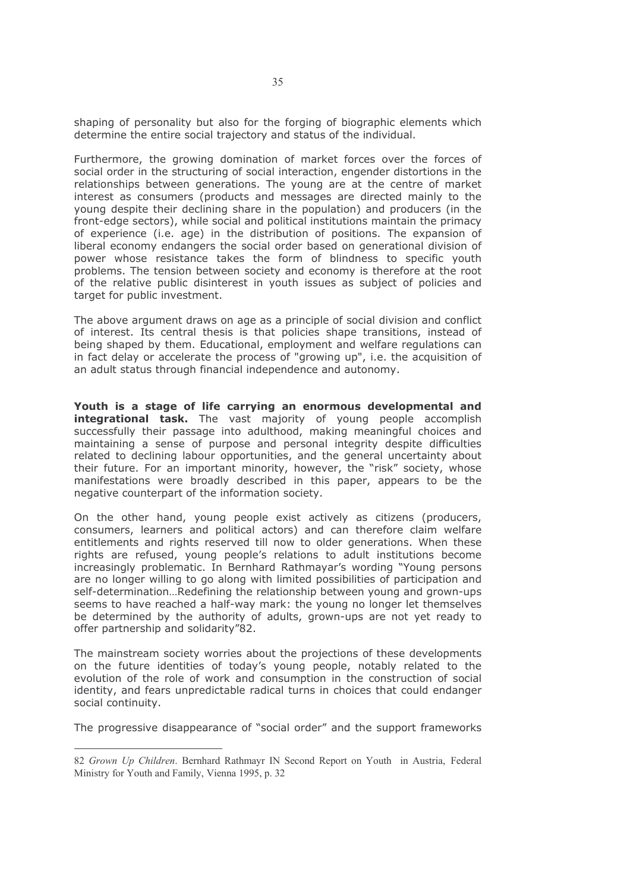shaping of personality but also for the forging of biographic elements which determine the entire social trajectory and status of the individual.

Furthermore, the growing domination of market forces over the forces of social order in the structuring of social interaction, engender distortions in the relationships between generations. The young are at the centre of market interest as consumers (products and messages are directed mainly to the young despite their declining share in the population) and producers (in the front-edge sectors), while social and political institutions maintain the primacy of experience (i.e. age) in the distribution of positions. The expansion of liberal economy endangers the social order based on generational division of power whose resistance takes the form of blindness to specific youth problems. The tension between society and economy is therefore at the root of the relative public disinterest in youth issues as subject of policies and target for public investment.

The above argument draws on age as a principle of social division and conflict of interest. Its central thesis is that policies shape transitions, instead of being shaped by them. Educational, employment and welfare regulations can in fact delay or accelerate the process of "growing up", i.e. the acquisition of an adult status through financial independence and autonomy.

Youth is a stage of life carrying an enormous developmental and integrational task. The vast majority of young people accomplish successfully their passage into adulthood, making meaningful choices and maintaining a sense of purpose and personal integrity despite difficulties related to declining labour opportunities, and the general uncertainty about their future. For an important minority, however, the "risk" society, whose manifestations were broadly described in this paper, appears to be the negative counterpart of the information society.

On the other hand, young people exist actively as citizens (producers, consumers, learners and political actors) and can therefore claim welfare entitlements and rights reserved till now to older generations. When these rights are refused, young people's relations to adult institutions become increasingly problematic. In Bernhard Rathmayar's wording "Young persons are no longer willing to go along with limited possibilities of participation and self-determination...Redefining the relationship between young and grown-ups seems to have reached a half-way mark: the young no longer let themselves be determined by the authority of adults, grown-ups are not yet ready to offer partnership and solidarity"82.

The mainstream society worries about the projections of these developments on the future identities of today's young people, notably related to the evolution of the role of work and consumption in the construction of social identity, and fears unpredictable radical turns in choices that could endanger social continuity.

The progressive disappearance of "social order" and the support frameworks

<sup>82</sup> Grown Up Children. Bernhard Rathmayr IN Second Report on Youth in Austria, Federal Ministry for Youth and Family, Vienna 1995, p. 32